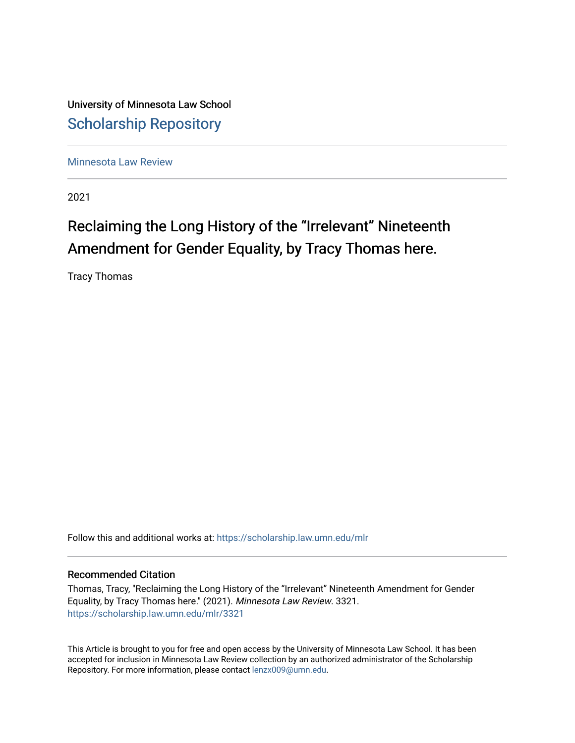University of Minnesota Law School [Scholarship Repository](https://scholarship.law.umn.edu/) 

[Minnesota Law Review](https://scholarship.law.umn.edu/mlr) 

2021

# Reclaiming the Long History of the "Irrelevant" Nineteenth Amendment for Gender Equality, by Tracy Thomas here.

Tracy Thomas

Follow this and additional works at: [https://scholarship.law.umn.edu/mlr](https://scholarship.law.umn.edu/mlr?utm_source=scholarship.law.umn.edu%2Fmlr%2F3321&utm_medium=PDF&utm_campaign=PDFCoverPages)

## Recommended Citation

Thomas, Tracy, "Reclaiming the Long History of the "Irrelevant" Nineteenth Amendment for Gender Equality, by Tracy Thomas here." (2021). Minnesota Law Review. 3321. [https://scholarship.law.umn.edu/mlr/3321](https://scholarship.law.umn.edu/mlr/3321?utm_source=scholarship.law.umn.edu%2Fmlr%2F3321&utm_medium=PDF&utm_campaign=PDFCoverPages)

This Article is brought to you for free and open access by the University of Minnesota Law School. It has been accepted for inclusion in Minnesota Law Review collection by an authorized administrator of the Scholarship Repository. For more information, please contact [lenzx009@umn.edu.](mailto:lenzx009@umn.edu)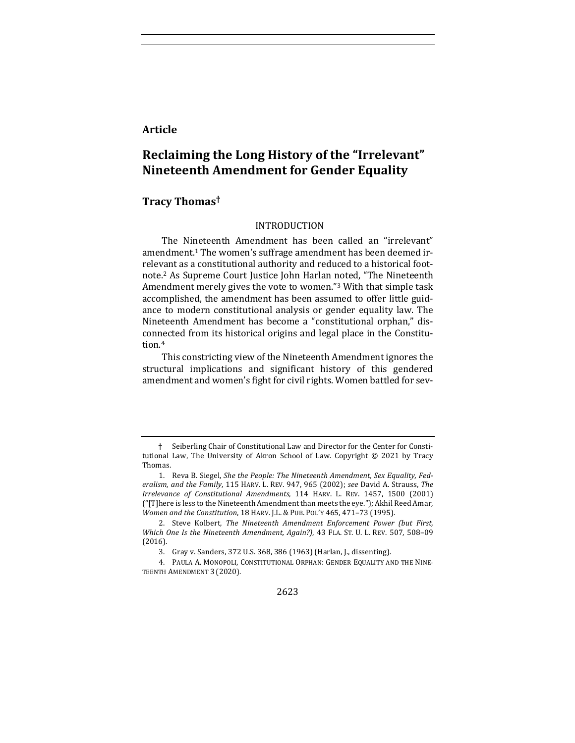# **Article**

# **Reclaiming the Long History of the "Irrelevant" Nineteenth Amendment for Gender Equality**

## **Tracy Thomas†**

#### INTRODUCTION

The Nineteenth Amendment has been called an "irrelevant" amendment.<sup>1</sup> The women's suffrage amendment has been deemed irrelevant as a constitutional authority and reduced to a historical footnote.<sup>2</sup> As Supreme Court Justice John Harlan noted, "The Nineteenth Amendment merely gives the vote to women."<sup>3</sup> With that simple task accomplished, the amendment has been assumed to offer little guidance to modern constitutional analysis or gender equality law. The Nineteenth Amendment has become a "constitutional orphan," disconnected from its historical origins and legal place in the Constitution.4

This constricting view of the Nineteenth Amendment ignores the structural implications and significant history of this gendered amendment and women's fight for civil rights. Women battled for sev-

2623

<sup>†</sup> Seiberling Chair of Constitutional Law and Director for the Center for Constitutional Law, The University of Akron School of Law. Copyright  $© 2021$  by Tracy Thomas.

<sup>1.</sup> Reva B. Siegel, *She the People: The Nineteenth Amendment, Sex Equality, Fed*eralism, and the Family, 115 HARV. L. REV. 947, 965 (2002); see David A. Strauss, The *Irrelevance of Constitutional Amendments*, 114 HARV. L. REV. 1457, 1500 (2001) ("[T]here is less to the Nineteenth Amendment than meets the eye."); Akhil Reed Amar, *Women and the Constitution,* 18 HARV. J.L. & PUB. POL'Y 465, 471-73 (1995).

<sup>2.</sup> Steve Kolbert, *The Nineteenth Amendment Enforcement Power (but First, Which One Is the Nineteenth Amendment, Again?*), 43 FLA. ST. U. L. REV. 507, 508-09 (2016).

<sup>3.</sup> Gray v. Sanders, 372 U.S. 368, 386 (1963) (Harlan, J., dissenting).

<sup>4.</sup> PAULA A. MONOPOLI, CONSTITUTIONAL ORPHAN: GENDER EQUALITY AND THE NINE-TEENTH AMENDMENT 3 (2020).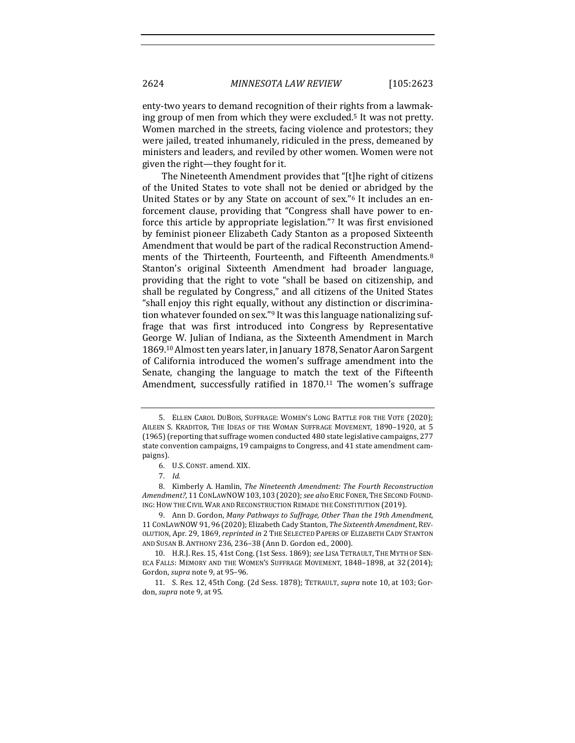enty-two years to demand recognition of their rights from a lawmaking group of men from which they were excluded.<sup>5</sup> It was not pretty. Women marched in the streets, facing violence and protestors; they were jailed, treated inhumanely, ridiculed in the press, demeaned by ministers and leaders, and reviled by other women. Women were not given the right—they fought for it.

The Nineteenth Amendment provides that "[t]he right of citizens of the United States to vote shall not be denied or abridged by the United States or by any State on account of sex."<sup>6</sup> It includes an enforcement clause, providing that "Congress shall have power to enforce this article by appropriate legislation."<sup>7</sup> It was first envisioned by feminist pioneer Elizabeth Cady Stanton as a proposed Sixteenth Amendment that would be part of the radical Reconstruction Amendments of the Thirteenth, Fourteenth, and Fifteenth Amendments.<sup>8</sup> Stanton's original Sixteenth Amendment had broader language, providing that the right to vote "shall be based on citizenship, and shall be regulated by Congress," and all citizens of the United States "shall enjoy this right equally, without any distinction or discrimination whatever founded on sex."<sup>9</sup> It was this language nationalizing suffrage that was first introduced into Congress by Representative George W. Julian of Indiana, as the Sixteenth Amendment in March 1869.<sup>10</sup> Almost ten years later, in January 1878, Senator Aaron Sargent of California introduced the women's suffrage amendment into the Senate, changing the language to match the text of the Fifteenth Amendment, successfully ratified in  $1870$ .<sup>11</sup> The women's suffrage

<sup>5.</sup> ELLEN CAROL DUBOIS, SUFFRAGE: WOMEN'S LONG BATTLE FOR THE VOTE (2020); AILEEN S. KRADITOR, THE IDEAS OF THE WOMAN SUFFRAGE MOVEMENT, 1890-1920, at 5 (1965) (reporting that suffrage women conducted 480 state legislative campaigns, 277 state convention campaigns, 19 campaigns to Congress, and 41 state amendment campaigns).

<sup>6.</sup> U.S. CONST. amend. XIX.

<sup>7.</sup> *Id.* 

<sup>8.</sup> Kimberly A. Hamlin, *The Nineteenth Amendment: The Fourth Reconstruction Amendment?*, 11 CONLAWNOW 103, 103 (2020);*see also* ERIC FONER, THE SECOND FOUND-ING: HOW THE CIVIL WAR AND RECONSTRUCTION REMADE THE CONSTITUTION (2019).

<sup>9.</sup> Ann D. Gordon, *Many Pathways to Suffrage, Other Than the 19th Amendment*, 11 CONLAWNOW 91, 96 (2020); Elizabeth Cady Stanton, *The Sixteenth Amendment*, REV-OLUTION, Apr. 29, 1869, *reprinted in* 2 THE SELECTED PAPERS OF ELIZABETH CADY STANTON AND SUSAN B. ANTHONY 236, 236-38 (Ann D. Gordon ed., 2000).

<sup>10.</sup> H.R.J. Res. 15, 41st Cong. (1st Sess. 1869); see LISA TETRAULT, THE MYTH OF SEN-ECA FALLS: MEMORY AND THE WOMEN'S SUFFRAGE MOVEMENT, 1848-1898, at 32 (2014); Gordon, *supra* note 9, at 95-96.

<sup>11.</sup> S. Res. 12, 45th Cong. (2d Sess. 1878); TETRAULT, *supra* note 10, at 103; Gordon, *supra* note 9, at 95.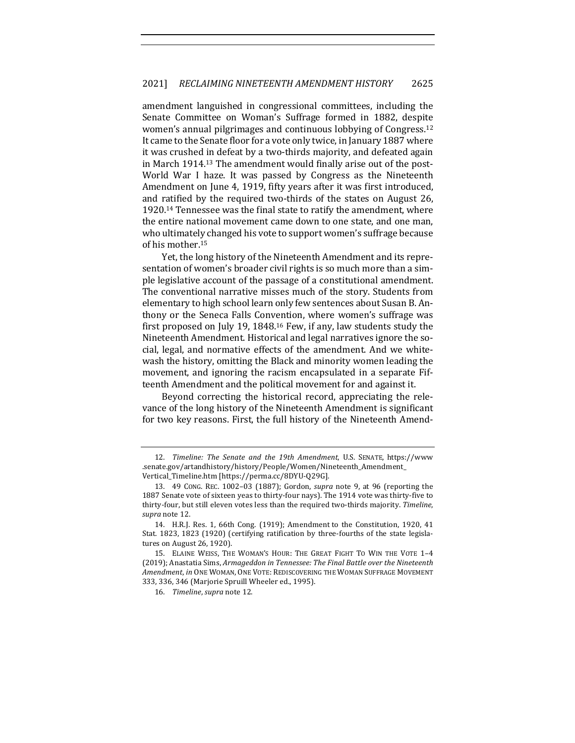amendment languished in congressional committees, including the Senate Committee on Woman's Suffrage formed in 1882, despite women's annual pilgrimages and continuous lobbying of Congress.<sup>12</sup> It came to the Senate floor for a vote only twice, in January 1887 where it was crushed in defeat by a two-thirds majority, and defeated again in March 1914.<sup>13</sup> The amendment would finally arise out of the post-World War I haze. It was passed by Congress as the Nineteenth Amendment on June 4, 1919, fifty years after it was first introduced, and ratified by the required two-thirds of the states on August 26, 1920.<sup>14</sup> Tennessee was the final state to ratify the amendment, where the entire national movement came down to one state, and one man, who ultimately changed his vote to support women's suffrage because of his mother.<sup>15</sup>

Yet, the long history of the Nineteenth Amendment and its representation of women's broader civil rights is so much more than a simple legislative account of the passage of a constitutional amendment. The conventional narrative misses much of the story. Students from elementary to high school learn only few sentences about Susan B. Anthony or the Seneca Falls Convention, where women's suffrage was first proposed on July 19, 1848.<sup>16</sup> Few, if any, law students study the Nineteenth Amendment. Historical and legal narratives ignore the social, legal, and normative effects of the amendment. And we whitewash the history, omitting the Black and minority women leading the movement, and ignoring the racism encapsulated in a separate Fifteenth Amendment and the political movement for and against it.

Beyond correcting the historical record, appreciating the relevance of the long history of the Nineteenth Amendment is significant for two key reasons. First, the full history of the Nineteenth Amend-

<sup>12.</sup> *Timeline: The Senate and the 19th Amendment*, U.S. SENATE, https://www .senate.gov/artandhistory/history/People/Women/Nineteenth\_Amendment\_ Vertical\_Timeline.htm [https://perma.cc/8DYU-Q29G].

<sup>13. 49</sup> CONG. REC. 1002-03 (1887); Gordon, *supra* note 9, at 96 (reporting the 1887 Senate vote of sixteen yeas to thirty-four nays). The 1914 vote was thirty-five to thirty-four, but still eleven votes less than the required two-thirds majority. Timeline, *supra* note 12.

<sup>14.</sup> H.R.J. Res. 1, 66th Cong. (1919); Amendment to the Constitution, 1920, 41 Stat. 1823, 1823 (1920) (certifying ratification by three-fourths of the state legislatures on August 26, 1920).

<sup>15.</sup> ELAINE WEISS, THE WOMAN'S HOUR: THE GREAT FIGHT TO WIN THE VOTE 1-4 (2019); Anastatia Sims, Armageddon in Tennessee: The Final Battle over the Nineteenth Amendment, in ONE WOMAN, ONE VOTE: REDISCOVERING THE WOMAN SUFFRAGE MOVEMENT 333, 336, 346 (Marjorie Spruill Wheeler ed., 1995).

<sup>16.</sup> Timeline, supra note 12.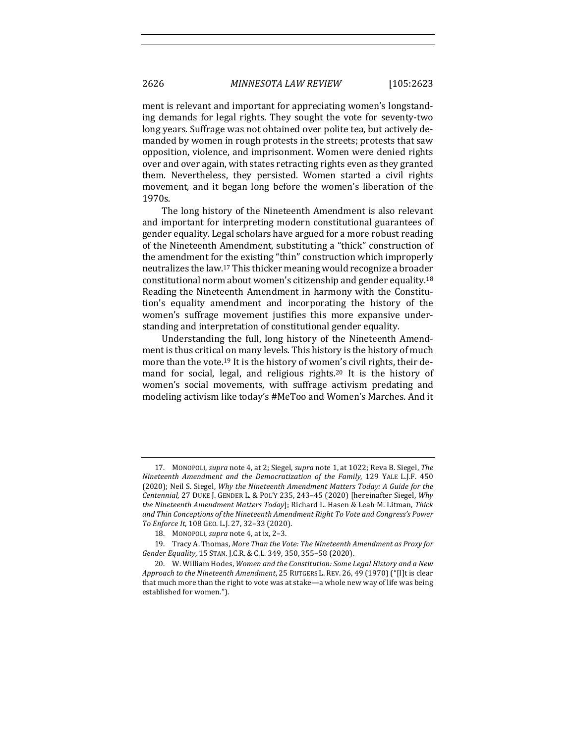ment is relevant and important for appreciating women's longstanding demands for legal rights. They sought the vote for seventy-two long years. Suffrage was not obtained over polite tea, but actively demanded by women in rough protests in the streets; protests that saw opposition, violence, and imprisonment. Women were denied rights over and over again, with states retracting rights even as they granted them. Nevertheless, they persisted. Women started a civil rights movement, and it began long before the women's liberation of the 1970s.

The long history of the Nineteenth Amendment is also relevant and important for interpreting modern constitutional guarantees of gender equality. Legal scholars have argued for a more robust reading of the Nineteenth Amendment, substituting a "thick" construction of the amendment for the existing "thin" construction which improperly neutralizes the law.<sup>17</sup> This thicker meaning would recognize a broader constitutional norm about women's citizenship and gender equality.<sup>18</sup> Reading the Nineteenth Amendment in harmony with the Constitution's equality amendment and incorporating the history of the women's suffrage movement justifies this more expansive understanding and interpretation of constitutional gender equality.

Understanding the full, long history of the Nineteenth Amendment is thus critical on many levels. This history is the history of much more than the vote.<sup>19</sup> It is the history of women's civil rights, their demand for social, legal, and religious rights.<sup>20</sup> It is the history of women's social movements, with suffrage activism predating and modeling activism like today's #MeToo and Women's Marches. And it

<sup>17.</sup> MONOPOLI, *supra* note 4, at 2; Siegel, *supra* note 1, at 1022; Reva B. Siegel, The *Nineteenth Amendment and the Democratization of the Family, 129 YALE L.J.F. 450* (2020); Neil S. Siegel, *Why the Nineteenth Amendment Matters Today: A Guide for the Centennial*, 27 DUKE J. GENDER L. & POL'Y 235, 243-45 (2020) [hereinafter Siegel, *Why the Nineteenth Amendment Matters Today*]; Richard L. Hasen & Leah M. Litman, Thick and Thin Conceptions of the Nineteenth Amendment Right To Vote and Congress's Power *To Enforce It*, 108 GEO. L.J. 27, 32–33 (2020).

<sup>18.</sup> MONOPOLI, *supra* note 4, at ix, 2-3.

<sup>19.</sup> Tracy A. Thomas, More Than the Vote: The Nineteenth Amendment as Proxy for *Gender Equality*, 15 STAN. J.C.R. & C.L. 349, 350, 355-58 (2020).

<sup>20.</sup> W. William Hodes, *Women and the Constitution: Some Legal History and a New Approach to the Nineteenth Amendment*, 25 RUTGERS L. REV. 26, 49 (1970) ("[I]t is clear that much more than the right to vote was at stake—a whole new way of life was being established for women.").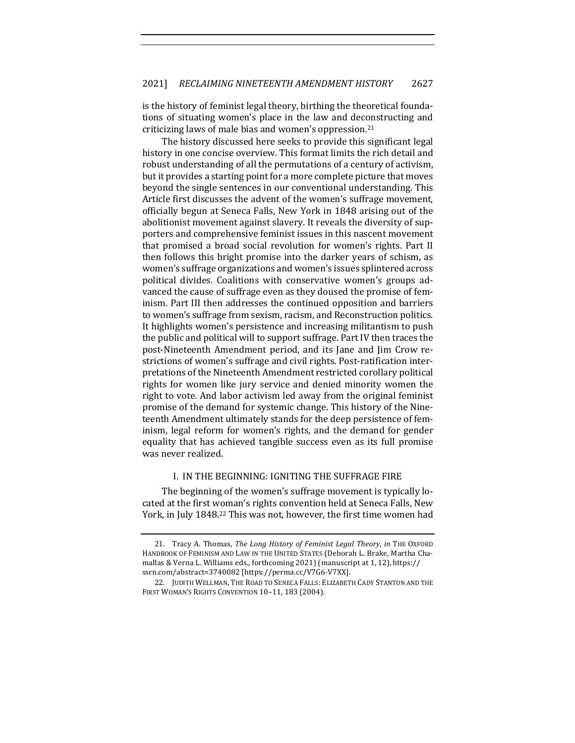is the history of feminist legal theory, birthing the theoretical foundations of situating women's place in the law and deconstructing and criticizing laws of male bias and women's oppression.<sup>21</sup>

The history discussed here seeks to provide this significant legal history in one concise overview. This format limits the rich detail and robust understanding of all the permutations of a century of activism, but it provides a starting point for a more complete picture that moves beyond the single sentences in our conventional understanding. This Article first discusses the advent of the women's suffrage movement, officially begun at Seneca Falls, New York in 1848 arising out of the abolitionist movement against slavery. It reveals the diversity of supporters and comprehensive feminist issues in this nascent movement that promised a broad social revolution for women's rights. Part II then follows this bright promise into the darker years of schism, as women's suffrage organizations and women's issues splintered across political divides. Coalitions with conservative women's groups advanced the cause of suffrage even as they doused the promise of feminism. Part III then addresses the continued opposition and barriers to women's suffrage from sexism, racism, and Reconstruction politics. It highlights women's persistence and increasing militantism to push the public and political will to support suffrage. Part IV then traces the post-Nineteenth Amendment period, and its Jane and Jim Crow restrictions of women's suffrage and civil rights. Post-ratification interpretations of the Nineteenth Amendment restricted corollary political rights for women like jury service and denied minority women the right to vote. And labor activism led away from the original feminist promise of the demand for systemic change. This history of the Nineteenth Amendment ultimately stands for the deep persistence of feminism, legal reform for women's rights, and the demand for gender equality that has achieved tangible success even as its full promise was never realized.

#### I. IN THE BEGINNING: IGNITING THE SUFFRAGE FIRE

The beginning of the women's suffrage movement is typically located at the first woman's rights convention held at Seneca Falls, New York, in July 1848.<sup>22</sup> This was not, however, the first time women had

<sup>21.</sup> Tracy A. Thomas, *The Long History of Feminist Legal Theory*, *in* THE OXFORD HANDBOOK OF FEMINISM AND LAW IN THE UNITED STATES (Deborah L. Brake, Martha Chamallas & Verna L. Williams eds., forthcoming 2021) (manuscript at 1, 12), https:// ssrn.com/abstract=3740082 [https://perma.cc/V7G6-V7XX].

<sup>22.</sup> JUDITH WELLMAN, THE ROAD TO SENECA FALLS: ELIZABETH CADY STANTON AND THE FIRST WOMAN'S RIGHTS CONVENTION 10-11, 183 (2004).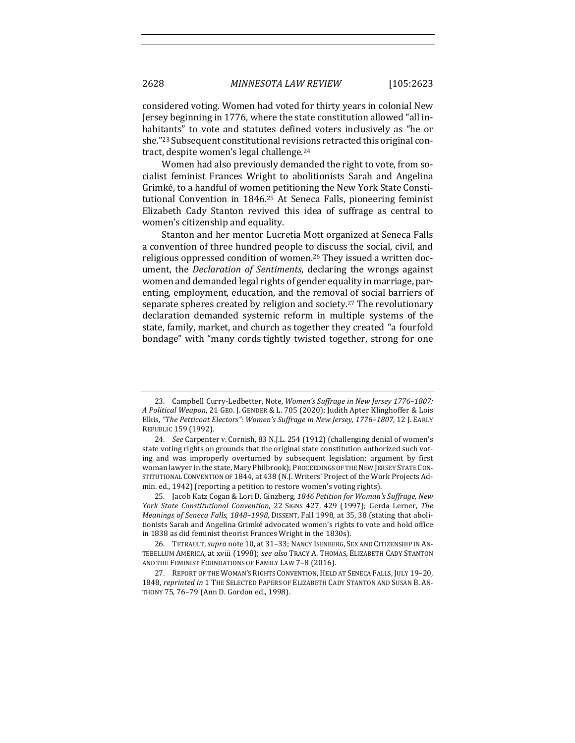considered voting. Women had voted for thirty years in colonial New Jersey beginning in 1776, where the state constitution allowed "all inhabitants" to vote and statutes defined voters inclusively as "he or she."<sup>23</sup> Subsequent constitutional revisions retracted this original contract, despite women's legal challenge.<sup>24</sup>

Women had also previously demanded the right to vote, from socialist feminist Frances Wright to abolitionists Sarah and Angelina Grimké, to a handful of women petitioning the New York State Constitutional Convention in 1846.<sup>25</sup> At Seneca Falls, pioneering feminist Elizabeth Cady Stanton revived this idea of suffrage as central to women's citizenship and equality.

Stanton and her mentor Lucretia Mott organized at Seneca Falls a convention of three hundred people to discuss the social, civil, and religious oppressed condition of women.<sup>26</sup> They issued a written document, the *Declaration of Sentiments*, declaring the wrongs against women and demanded legal rights of gender equality in marriage, parenting, employment, education, and the removal of social barriers of separate spheres created by religion and society.<sup>27</sup> The revolutionary declaration demanded systemic reform in multiple systems of the state, family, market, and church as together they created "a fourfold bondage" with "many cords tightly twisted together, strong for one

<sup>23.</sup> Campbell Curry-Ledbetter, Note, *Women's Suffrage in New Jersey 1776-1807: A* Political Weapon, 21 GEO. J. GENDER & L. 705 (2020); Judith Apter Klinghoffer & Lois Elkis, "The Petticoat Electors": Women's Suffrage in New Jersey, 1776-1807, 12 J. EARLY REPUBLIC 159 (1992).

<sup>24.</sup> *See* Carpenter v. Cornish, 83 N.J.L. 254 (1912) (challenging denial of women's state voting rights on grounds that the original state constitution authorized such voting and was improperly overturned by subsequent legislation; argument by first woman lawyer in the state, Mary Philbrook); PROCEEDINGS OF THE NEW JERSEY STATE CON-STITUTIONAL CONVENTION OF 1844, at 438 (N.J. Writers' Project of the Work Projects Admin. ed., 1942) (reporting a petition to restore women's voting rights).

<sup>25.</sup> Jacob Katz Cogan & Lori D. Ginzberg, 1846 Petition for Woman's Suffrage, New *York State Constitutional Convention,* 22 SIGNS 427, 429 (1997); Gerda Lerner, *The Meanings of Seneca Falls, 1848-1998, DISSENT, Fall 1998, at 35, 38 (stating that aboli*tionists Sarah and Angelina Grimké advocated women's rights to vote and hold office in 1838 as did feminist theorist Frances Wright in the 1830s).

<sup>26.</sup> TETRAULT, *supra* note 10, at 31-33; NANCY ISENBERG, SEX AND CITIZENSHIP IN AN-TEBELLUM AMERICA, at xviii (1998); see also TRACY A. THOMAS, ELIZABETH CADY STANTON AND THE FEMINIST FOUNDATIONS OF FAMILY LAW 7-8 (2016).

<sup>27.</sup> REPORT OF THE WOMAN'S RIGHTS CONVENTION, HELD AT SENECA FALLS, JULY 19-20, 1848, *reprinted in* 1 THE SELECTED PAPERS OF ELIZABETH CADY STANTON AND SUSAN B. AN-THONY 75, 76-79 (Ann D. Gordon ed., 1998).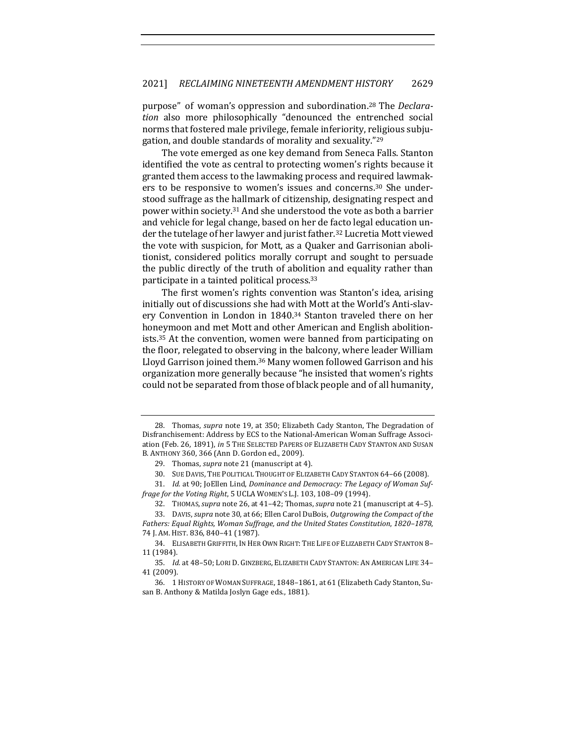purpose" of woman's oppression and subordination.<sup>28</sup> The *Declara*tion also more philosophically "denounced the entrenched social norms that fostered male privilege, female inferiority, religious subjugation, and double standards of morality and sexuality."<sup>29</sup>

The vote emerged as one key demand from Seneca Falls. Stanton identified the vote as central to protecting women's rights because it granted them access to the lawmaking process and required lawmakers to be responsive to women's issues and concerns.<sup>30</sup> She understood suffrage as the hallmark of citizenship, designating respect and power within society.<sup>31</sup> And she understood the vote as both a barrier and vehicle for legal change, based on her de facto legal education under the tutelage of her lawyer and jurist father.<sup>32</sup> Lucretia Mott viewed the vote with suspicion, for Mott, as a Quaker and Garrisonian abolitionist, considered politics morally corrupt and sought to persuade the public directly of the truth of abolition and equality rather than participate in a tainted political process.<sup>33</sup>

The first women's rights convention was Stanton's idea, arising initially out of discussions she had with Mott at the World's Anti-slavery Convention in London in 1840.<sup>34</sup> Stanton traveled there on her honeymoon and met Mott and other American and English abolitionists.<sup>35</sup> At the convention, women were banned from participating on the floor, relegated to observing in the balcony, where leader William Lloyd Garrison joined them.<sup>36</sup> Many women followed Garrison and his organization more generally because "he insisted that women's rights could not be separated from those of black people and of all humanity,

<sup>28.</sup> Thomas, *supra* note 19, at 350; Elizabeth Cady Stanton, The Degradation of Disfranchisement: Address by ECS to the National-American Woman Suffrage Association (Feb. 26, 1891), in 5 THE SELECTED PAPERS OF ELIZABETH CADY STANTON AND SUSAN B. ANTHONY 360, 366 (Ann D. Gordon ed., 2009).

<sup>29.</sup> Thomas, *supra* note 21 (manuscript at 4).

<sup>30.</sup> SUE DAVIS, THE POLITICAL THOUGHT OF ELIZABETH CADY STANTON 64-66 (2008).

<sup>31.</sup> *Id.* at 90; JoEllen Lind, Dominance and Democracy: The Legacy of Woman Suffrage for the Voting Right, 5 UCLA WOMEN'S L.J. 103, 108-09 (1994).

<sup>32.</sup> THOMAS, *supra* note 26, at 41-42; Thomas, *supra* note 21 (manuscript at 4-5).

<sup>33.</sup> DAVIS, *supra* note 30, at 66; Ellen Carol DuBois, Outgrowing the Compact of the *Fathers: Equal Rights, Woman Suffrage, and the United States Constitution, 1820-1878,* 74 J. AM. HIST. 836, 840-41 (1987).

<sup>34.</sup> ELISABETH GRIFFITH, IN HER OWN RIGHT: THE LIFE OF ELIZABETH CADY STANTON 8-11 (1984).

<sup>35.</sup> *Id.* at 48-50; LORI D. GINZBERG, ELIZABETH CADY STANTON: AN AMERICAN LIFE 34-41 (2009).

<sup>36. 1</sup> HISTORY OF WOMAN SUFFRAGE, 1848-1861, at 61 (Elizabeth Cady Stanton, Susan B. Anthony & Matilda Joslyn Gage eds., 1881).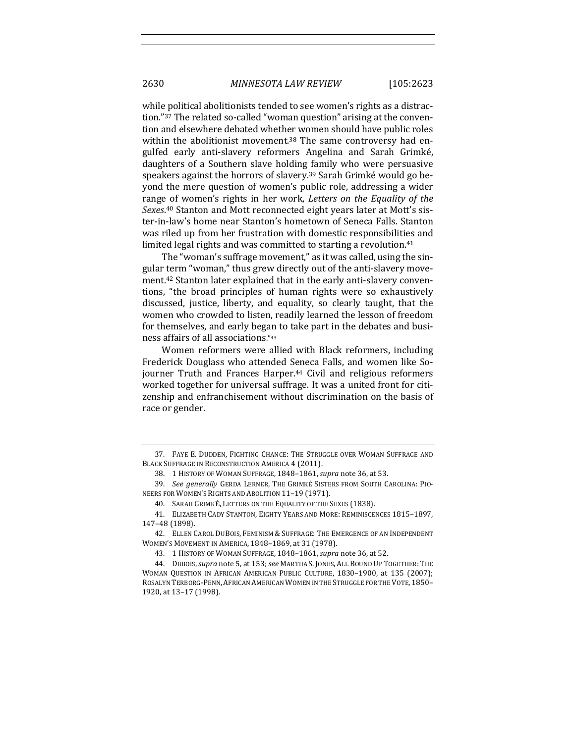while political abolitionists tended to see women's rights as a distraction."<sup>37</sup> The related so-called "woman question" arising at the convention and elsewhere debated whether women should have public roles within the abolitionist movement.<sup>38</sup> The same controversy had engulfed early anti-slavery reformers Angelina and Sarah Grimké, daughters of a Southern slave holding family who were persuasive speakers against the horrors of slavery.<sup>39</sup> Sarah Grimké would go beyond the mere question of women's public role, addressing a wider range of women's rights in her work, *Letters* on the *Equality* of the Sexes.<sup>40</sup> Stanton and Mott reconnected eight years later at Mott's sister-in-law's home near Stanton's hometown of Seneca Falls. Stanton was riled up from her frustration with domestic responsibilities and limited legal rights and was committed to starting a revolution.<sup>41</sup>

The "woman's suffrage movement," as it was called, using the singular term "woman," thus grew directly out of the anti-slavery movement.<sup>42</sup> Stanton later explained that in the early anti-slavery conventions, "the broad principles of human rights were so exhaustively discussed, justice, liberty, and equality, so clearly taught, that the women who crowded to listen, readily learned the lesson of freedom for themselves, and early began to take part in the debates and business affairs of all associations."43

Women reformers were allied with Black reformers, including Frederick Douglass who attended Seneca Falls, and women like Sojourner Truth and Frances Harper.<sup>44</sup> Civil and religious reformers worked together for universal suffrage. It was a united front for citizenship and enfranchisement without discrimination on the basis of race or gender.

<sup>37.</sup> FAYE E. DUDDEN, FIGHTING CHANCE: THE STRUGGLE OVER WOMAN SUFFRAGE AND BLACK SUFFRAGE IN RECONSTRUCTION AMERICA 4 (2011).

<sup>38. 1</sup> HISTORY OF WOMAN SUFFRAGE, 1848-1861, *supra* note 36, at 53.

<sup>39.</sup> See generally GERDA LERNER, THE GRIMKÉ SISTERS FROM SOUTH CAROLINA: PIO-NEERS FOR WOMEN'S RIGHTS AND ABOLITION 11-19 (1971).

<sup>40.</sup> SARAH GRIMKÉ, LETTERS ON THE EQUALITY OF THE SEXES (1838).

<sup>41.</sup> ELIZABETH CADY STANTON, EIGHTY YEARS AND MORE: REMINISCENCES 1815-1897, 147–48 (1898).

<sup>42.</sup> ELLEN CAROL DUBOIS, FEMINISM & SUFFRAGE: THE EMERGENCE OF AN INDEPENDENT WOMEN'S MOVEMENT IN AMERICA, 1848-1869, at 31 (1978).

<sup>43.</sup> 1 HISTORY OF WOMAN SUFFRAGE, 1848–1861,*supra* note 36, at 52.

<sup>44.</sup> DUBOIS, *supra* note 5, at 153; *see* MARTHA S. JONES, ALL BOUND UP TOGETHER: THE WOMAN QUESTION IN AFRICAN AMERICAN PUBLIC CULTURE, 1830-1900, at 135 (2007); ROSALYN TERBORG-PENN, AFRICAN AMERICAN WOMEN IN THE STRUGGLE FOR THE VOTE, 1850-1920, at 13–17 (1998).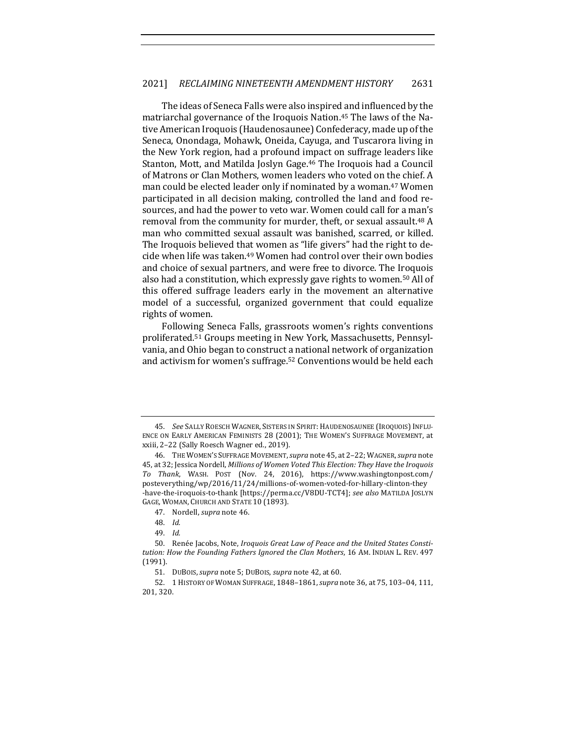The ideas of Seneca Falls were also inspired and influenced by the matriarchal governance of the Iroquois Nation.<sup>45</sup> The laws of the Native American Iroquois (Haudenosaunee) Confederacy, made up of the Seneca, Onondaga, Mohawk, Oneida, Cayuga, and Tuscarora living in the New York region, had a profound impact on suffrage leaders like Stanton, Mott, and Matilda Joslyn Gage.<sup>46</sup> The Iroquois had a Council of Matrons or Clan Mothers, women leaders who voted on the chief. A man could be elected leader only if nominated by a woman.<sup>47</sup> Women participated in all decision making, controlled the land and food resources, and had the power to veto war. Women could call for a man's removal from the community for murder, theft, or sexual assault.<sup>48</sup> A man who committed sexual assault was banished, scarred, or killed. The Iroquois believed that women as "life givers" had the right to decide when life was taken.<sup>49</sup> Women had control over their own bodies and choice of sexual partners, and were free to divorce. The Iroquois also had a constitution, which expressly gave rights to women.<sup>50</sup> All of this offered suffrage leaders early in the movement an alternative model of a successful, organized government that could equalize rights of women.

Following Seneca Falls, grassroots women's rights conventions proliferated.<sup>51</sup> Groups meeting in New York, Massachusetts, Pennsylvania, and Ohio began to construct a national network of organization and activism for women's suffrage.<sup>52</sup> Conventions would be held each

<sup>45.</sup> See SALLY ROESCH WAGNER, SISTERS IN SPIRIT: HAUDENOSAUNEE (IROQUOIS) INFLU-ENCE ON EARLY AMERICAN FEMINISTS 28 (2001); THE WOMEN'S SUFFRAGE MOVEMENT, at xxiii, 2-22 (Sally Roesch Wagner ed., 2019).

<sup>46.</sup> THE WOMEN'S SUFFRAGE MOVEMENT, *supra* note 45, at 2-22; WAGNER, *supra* note 45, at 32; Jessica Nordell, *Millions of Women Voted This Election: They Have the Iroquois To Thank*, WASH. POST (Nov. 24, 2016), https://www.washingtonpost.com/ posteverything/wp/2016/11/24/millions-of-women-voted-for-hillary-clinton-they -have-the-iroquois-to-thank [https://perma.cc/V8DU-TCT4]; see also MATILDA JOSLYN GAGE, WOMAN, CHURCH AND STATE 10 (1893).

<sup>47.</sup> Nordell, *supra* note 46.

<sup>48.</sup> *Id.*

<sup>49.</sup> *Id.*

<sup>50.</sup> Renée Jacobs, Note, *Iroquois Great Law of Peace and the United States Consti*tution: How the Founding Fathers Ignored the Clan Mothers, 16 AM. INDIAN L. REV. 497 (1991).

<sup>51.</sup> DUBOIS, *supra* note 5; DUBOIS, *supra* note 42, at 60.

<sup>52.</sup> 1 HISTORY OF WOMAN SUFFRAGE, 1848–1861, *supra* note 36, at 75, 103–04, 111, 201, 320.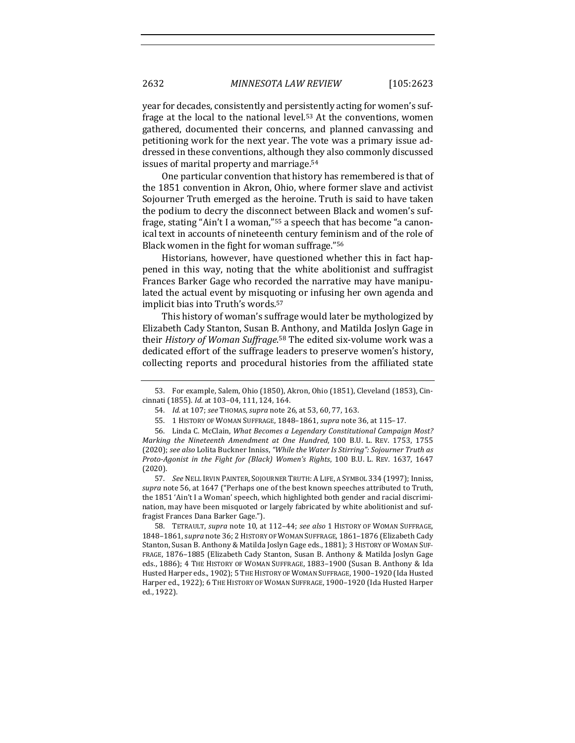year for decades, consistently and persistently acting for women's suffrage at the local to the national level.<sup>53</sup> At the conventions, women gathered, documented their concerns, and planned canvassing and petitioning work for the next year. The vote was a primary issue addressed in these conventions, although they also commonly discussed issues of marital property and marriage.<sup>54</sup>

One particular convention that history has remembered is that of the 1851 convention in Akron, Ohio, where former slave and activist Sojourner Truth emerged as the heroine. Truth is said to have taken the podium to decry the disconnect between Black and women's suffrage, stating "Ain't I a woman,"<sup>55</sup> a speech that has become "a canonical text in accounts of nineteenth century feminism and of the role of Black women in the fight for woman suffrage."56

Historians, however, have questioned whether this in fact happened in this way, noting that the white abolitionist and suffragist Frances Barker Gage who recorded the narrative may have manipulated the actual event by misquoting or infusing her own agenda and implicit bias into Truth's words.<sup>57</sup>

This history of woman's suffrage would later be mythologized by Elizabeth Cady Stanton, Susan B. Anthony, and Matilda Joslyn Gage in their *History of Woman Suffrage*.<sup>58</sup> The edited six-volume work was a dedicated effort of the suffrage leaders to preserve women's history, collecting reports and procedural histories from the affiliated state

58. TETRAULT, *supra* note 10, at 112-44; see also 1 HISTORY OF WOMAN SUFFRAGE, 1848-1861, supra note 36; 2 HISTORY OF WOMAN SUFFRAGE, 1861-1876 (Elizabeth Cady Stanton, Susan B. Anthony & Matilda Joslyn Gage eds., 1881); 3 HISTORY OF WOMAN SUF-FRAGE, 1876-1885 (Elizabeth Cady Stanton, Susan B. Anthony & Matilda Joslyn Gage eds., 1886); 4 THE HISTORY OF WOMAN SUFFRAGE, 1883-1900 (Susan B. Anthony & Ida Husted Harper eds., 1902); 5 THE HISTORY OF WOMAN SUFFRAGE, 1900-1920 (Ida Husted Harper ed., 1922); 6 THE HISTORY OF WOMAN SUFFRAGE, 1900-1920 (Ida Husted Harper ed., 1922).

<sup>53.</sup> For example, Salem, Ohio (1850), Akron, Ohio (1851), Cleveland (1853), Cincinnati (1855). *Id.* at 103-04, 111, 124, 164.

<sup>54.</sup> *Id.* at 107; see THOMAS, supra note 26, at 53, 60, 77, 163.

<sup>55. 1</sup> HISTORY OF WOMAN SUFFRAGE, 1848-1861, *supra* note 36, at 115-17.

<sup>56.</sup> Linda C. McClain, *What Becomes a Legendary Constitutional Campaign Most? Marking the Nineteenth Amendment at One Hundred, 100 B.U. L. REV. 1753, 1755* (2020); see also Lolita Buckner Inniss, "While the Water Is Stirring": Sojourner Truth as *Proto-Agonist in the Fight for (Black) Women's Rights*, 100 B.U. L. REV. 1637, 1647 (2020).

<sup>57.</sup> *See* NELL IRVIN PAINTER, SOJOURNER TRUTH: A LIFE, A SYMBOL 334 (1997); Inniss, *supra* note 56, at 1647 ("Perhaps one of the best known speeches attributed to Truth, the 1851 'Ain't I a Woman' speech, which highlighted both gender and racial discrimination, may have been misquoted or largely fabricated by white abolitionist and suffragist Frances Dana Barker Gage.").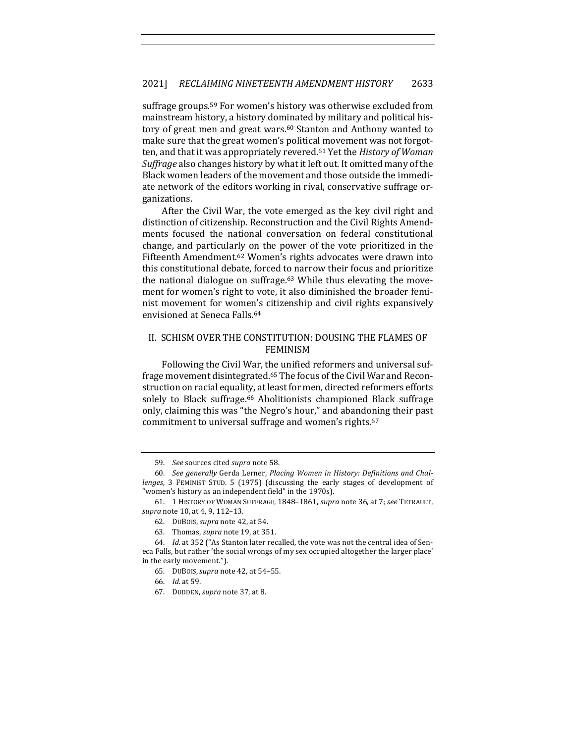suffrage groups.<sup>59</sup> For women's history was otherwise excluded from mainstream history, a history dominated by military and political history of great men and great wars.<sup>60</sup> Stanton and Anthony wanted to make sure that the great women's political movement was not forgotten, and that it was appropriately revered.<sup>61</sup> Yet the *History of Woman Suffrage* also changes history by what it left out. It omitted many of the Black women leaders of the movement and those outside the immediate network of the editors working in rival, conservative suffrage organizations.

After the Civil War, the vote emerged as the key civil right and distinction of citizenship. Reconstruction and the Civil Rights Amendments focused the national conversation on federal constitutional change, and particularly on the power of the vote prioritized in the Fifteenth Amendment.<sup>62</sup> Women's rights advocates were drawn into this constitutional debate, forced to narrow their focus and prioritize the national dialogue on suffrage. $63$  While thus elevating the movement for women's right to vote, it also diminished the broader feminist movement for women's citizenship and civil rights expansively envisioned at Seneca Falls.<sup>64</sup>

#### II. SCHISM OVER THE CONSTITUTION: DOUSING THE FLAMES OF FEMINISM

Following the Civil War, the unified reformers and universal suffrage movement disintegrated.<sup>65</sup> The focus of the Civil War and Reconstruction on racial equality, at least for men, directed reformers efforts solely to Black suffrage.<sup>66</sup> Abolitionists championed Black suffrage only, claiming this was "the Negro's hour," and abandoning their past commitment to universal suffrage and women's rights.<sup>67</sup>

<sup>59.</sup> *See* sources cited *supra* note 58.

<sup>60.</sup> See generally Gerda Lerner, *Placing Women in History: Definitions and Challenges*, 3 FEMINIST STUD. 5 (1975) (discussing the early stages of development of "women's history as an independent field" in the 1970s).

<sup>61.</sup> 1 HISTORY OF WOMAN SUFFRAGE, 1848–1861, *supra* note 36, at 7; *see* TETRAULT, *supra* note 10, at 4, 9, 112-13.

<sup>62.</sup> DUBOIS, *supra* note 42, at 54.

<sup>63.</sup> Thomas, *supra* note 19, at 351.

<sup>64.</sup> *Id.* at 352 ("As Stanton later recalled, the vote was not the central idea of Seneca Falls, but rather 'the social wrongs of my sex occupied altogether the larger place' in the early movement.").

<sup>65.</sup> DUBOIS, *supra* note 42, at 54-55.

<sup>66.</sup> *Id.* at 59.

<sup>67.</sup> DUDDEN, *supra* note 37, at 8.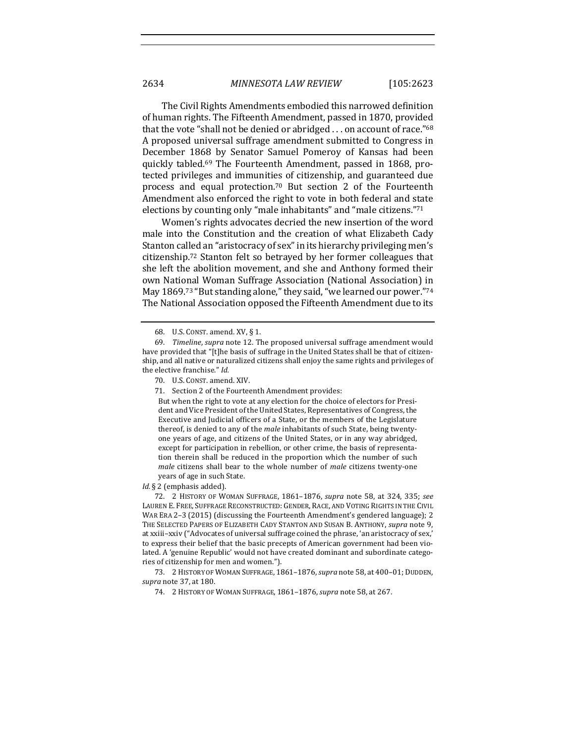The Civil Rights Amendments embodied this narrowed definition of human rights. The Fifteenth Amendment, passed in 1870, provided that the vote "shall not be denied or abridged  $\dots$  on account of race."68 A proposed universal suffrage amendment submitted to Congress in December 1868 by Senator Samuel Pomeroy of Kansas had been quickly tabled.<sup>69</sup> The Fourteenth Amendment, passed in 1868, protected privileges and immunities of citizenship, and guaranteed due process and equal protection.<sup>70</sup> But section 2 of the Fourteenth Amendment also enforced the right to vote in both federal and state elections by counting only "male inhabitants" and "male citizens."71

Women's rights advocates decried the new insertion of the word male into the Constitution and the creation of what Elizabeth Cady Stanton called an "aristocracy of sex" in its hierarchy privileging men's citizenship.<sup>72</sup> Stanton felt so betrayed by her former colleagues that she left the abolition movement, and she and Anthony formed their own National Woman Suffrage Association (National Association) in May 1869.<sup>73</sup> "But standing alone," they said, "we learned our power."<sup>74</sup> The National Association opposed the Fifteenth Amendment due to its

But when the right to vote at any election for the choice of electors for President and Vice President of the United States, Representatives of Congress, the Executive and Judicial officers of a State, or the members of the Legislature thereof, is denied to any of the *male* inhabitants of such State, being twentyone years of age, and citizens of the United States, or in any way abridged, except for participation in rebellion, or other crime, the basis of representation therein shall be reduced in the proportion which the number of such *male* citizens shall bear to the whole number of *male* citizens twenty-one years of age in such State.

Id. § 2 (emphasis added).

72. 2 HISTORY OF WOMAN SUFFRAGE, 1861–1876, *supra* note 58, at 324, 335; *see*  LAUREN E. FREE, SUFFRAGE RECONSTRUCTED: GENDER, RACE, AND VOTING RIGHTS IN THE CIVIL WAR ERA  $2-3$  (2015) (discussing the Fourteenth Amendment's gendered language); 2 THE SELECTED PAPERS OF ELIZABETH CADY STANTON AND SUSAN B. ANTHONY, *supra* note 9, at xxiii-xxiv ("Advocates of universal suffrage coined the phrase, 'an aristocracy of sex,' to express their belief that the basic precepts of American government had been violated. A 'genuine Republic' would not have created dominant and subordinate categories of citizenship for men and women.").

73. 2 HISTORY OF WOMAN SUFFRAGE, 1861-1876, *supra* note 58, at 400-01; DUDDEN, *supra* note 37, at 180.

74. 2 HISTORY OF WOMAN SUFFRAGE, 1861-1876, *supra* note 58, at 267.

<sup>68.</sup> U.S. CONST. amend. XV, § 1.

<sup>69.</sup> *Timeline*, *supra* note 12. The proposed universal suffrage amendment would have provided that "[t]he basis of suffrage in the United States shall be that of citizenship, and all native or naturalized citizens shall enjoy the same rights and privileges of the elective franchise." Id.

<sup>70.</sup> U.S. CONST. amend. XIV.

<sup>71.</sup> Section 2 of the Fourteenth Amendment provides: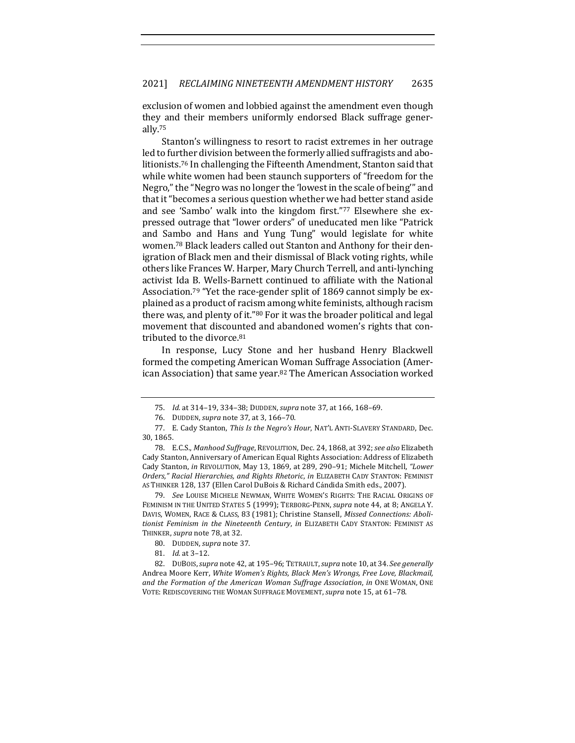exclusion of women and lobbied against the amendment even though they and their members uniformly endorsed Black suffrage generally.75

Stanton's willingness to resort to racist extremes in her outrage led to further division between the formerly allied suffragists and abolitionists.<sup>76</sup> In challenging the Fifteenth Amendment, Stanton said that while white women had been staunch supporters of "freedom for the Negro," the "Negro was no longer the 'lowest in the scale of being'" and that it "becomes a serious question whether we had better stand aside and see 'Sambo' walk into the kingdom first."77 Elsewhere she expressed outrage that "lower orders" of uneducated men like "Patrick and Sambo and Hans and Yung Tung" would legislate for white women.<sup>78</sup> Black leaders called out Stanton and Anthony for their denigration of Black men and their dismissal of Black voting rights, while others like Frances W. Harper, Mary Church Terrell, and anti-lynching activist Ida B. Wells-Barnett continued to affiliate with the National Association.<sup>79</sup> "Yet the race-gender split of 1869 cannot simply be explained as a product of racism among white feminists, although racism there was, and plenty of it."80 For it was the broader political and legal movement that discounted and abandoned women's rights that contributed to the divorce.<sup>81</sup>

In response, Lucy Stone and her husband Henry Blackwell formed the competing American Woman Suffrage Association (American Association) that same year.<sup>82</sup> The American Association worked

79. *See* LOUISE MICHELE NEWMAN, WHITE WOMEN'S RIGHTS: THE RACIAL ORIGINS OF FEMINISM IN THE UNITED STATES 5 (1999); TERBORG-PENN, *supra* note 44, at 8; ANGELA Y. DAVIS, WOMEN, RACE & CLASS, 83 (1981); Christine Stansell, *Missed Connections: Aboli*tionist Feminism in the Nineteenth Century, in ELIZABETH CADY STANTON: FEMINIST AS THINKER, *supra* note 78, at 32.

- 80. DUDDEN, *supra* note 37.
- 81. *Id.* at 3–12.

82. DUBOIS, *supra* note 42, at 195-96; TETRAULT, *supra* note 10, at 34. *See generally* Andrea Moore Kerr, White Women's Rights, Black Men's Wrongs, Free Love, Blackmail, and the Formation of the American Woman Suffrage Association, in ONE WOMAN, ONE VOTE: REDISCOVERING THE WOMAN SUFFRAGE MOVEMENT, *supra* note 15, at 61-78.

<sup>75.</sup> *Id.* at 314-19, 334-38; DUDDEN, *supra* note 37, at 166, 168-69.

<sup>76.</sup> DUDDEN, *supra* note 37, at 3, 166-70.

<sup>77.</sup> E. Cady Stanton, *This Is the Negro's Hour*, NAT'L ANTI-SLAVERY STANDARD, Dec. 30, 1865.

<sup>78.</sup> E.C.S., Manhood Suffrage, REVOLUTION, Dec. 24, 1868, at 392; see also Elizabeth Cady Stanton, Anniversary of American Equal Rights Association: Address of Elizabeth Cady Stanton, *in* REVOLUTION, May 13, 1869, at 289, 290-91; Michele Mitchell, "Lower *Orders," Racial Hierarchies, and Rights Rhetoric*, *in* ELIZABETH CADY STANTON: FEMINIST AS THINKER 128, 137 (Ellen Carol DuBois & Richard Cándida Smith eds., 2007).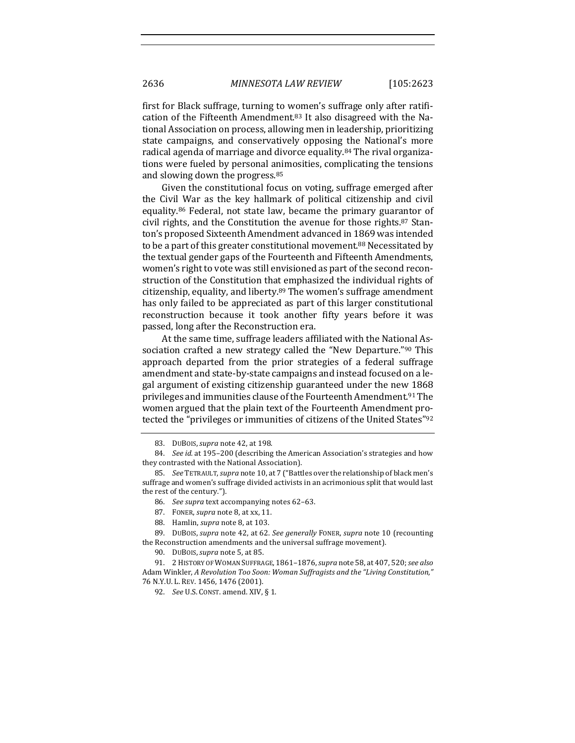first for Black suffrage, turning to women's suffrage only after ratification of the Fifteenth Amendment.<sup>83</sup> It also disagreed with the National Association on process, allowing men in leadership, prioritizing state campaigns, and conservatively opposing the National's more radical agenda of marriage and divorce equality.<sup>84</sup> The rival organizations were fueled by personal animosities, complicating the tensions and slowing down the progress.<sup>85</sup>

Given the constitutional focus on voting, suffrage emerged after the Civil War as the key hallmark of political citizenship and civil equality.<sup>86</sup> Federal, not state law, became the primary guarantor of civil rights, and the Constitution the avenue for those rights. $87$  Stanton's proposed Sixteenth Amendment advanced in 1869 was intended to be a part of this greater constitutional movement.<sup>88</sup> Necessitated by the textual gender gaps of the Fourteenth and Fifteenth Amendments, women's right to vote was still envisioned as part of the second reconstruction of the Constitution that emphasized the individual rights of citizenship, equality, and liberty.<sup>89</sup> The women's suffrage amendment has only failed to be appreciated as part of this larger constitutional reconstruction because it took another fifty years before it was passed, long after the Reconstruction era.

At the same time, suffrage leaders affiliated with the National Association crafted a new strategy called the "New Departure."<sup>90</sup> This approach departed from the prior strategies of a federal suffrage amendment and state-by-state campaigns and instead focused on a legal argument of existing citizenship guaranteed under the new 1868 privileges and immunities clause of the Fourteenth Amendment.<sup>91</sup> The women argued that the plain text of the Fourteenth Amendment protected the "privileges or immunities of citizens of the United States"92

- 87. FONER, *supra* note 8, at xx, 11.
- 88. Hamlin, *supra* note 8, at 103.

<sup>83.</sup> DUBOIS, *supra* note 42, at 198.

<sup>84.</sup> *See id.* at 195–200 (describing the American Association's strategies and how they contrasted with the National Association).

<sup>85.</sup> *See* TETRAULT, *supra* note 10, at 7 ("Battles over the relationship of black men's suffrage and women's suffrage divided activists in an acrimonious split that would last the rest of the century.").

<sup>86.</sup> *See supra* text accompanying notes 62-63.

<sup>89.</sup> DUBOIS, *supra* note 42, at 62. *See generally* FONER, *supra* note 10 (recounting the Reconstruction amendments and the universal suffrage movement).

<sup>90.</sup> DUBOIS, *supra* note 5, at 85.

<sup>91.</sup> 2 HISTORY OF WOMAN SUFFRAGE, 1861–1876, *supra* note 58, at 407, 520; *see also* Adam Winkler, *A Revolution Too Soon: Woman Suffragists and the "Living Constitution*,*"* 76 N.Y.U. L. REV. 1456, 1476 (2001).

<sup>92.</sup> *See U.S. CONST. amend. XIV, § 1.*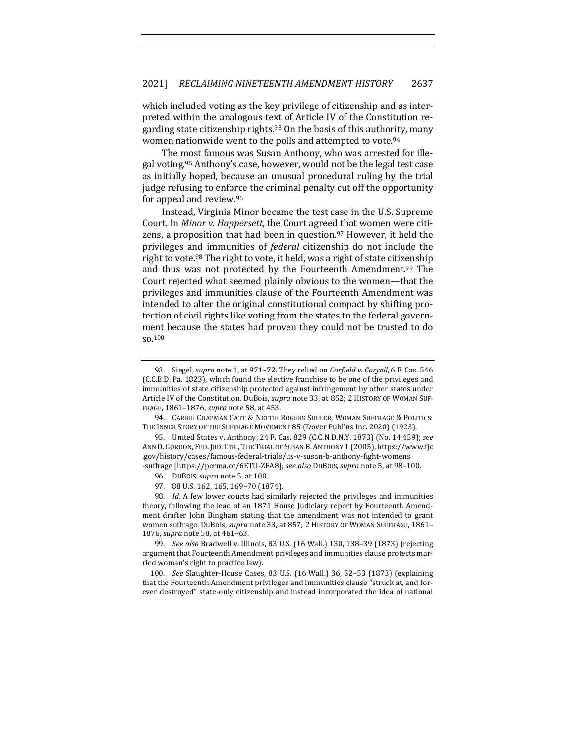which included voting as the key privilege of citizenship and as interpreted within the analogous text of Article IV of the Constitution regarding state citizenship rights.<sup>93</sup> On the basis of this authority, many women nationwide went to the polls and attempted to vote.<sup>94</sup>

The most famous was Susan Anthony, who was arrested for illegal voting.<sup>95</sup> Anthony's case, however, would not be the legal test case as initially hoped, because an unusual procedural ruling by the trial judge refusing to enforce the criminal penalty cut off the opportunity for appeal and review.<sup>96</sup>

Instead, Virginia Minor became the test case in the U.S. Supreme Court. In *Minor v. Happersett*, the Court agreed that women were citizens, a proposition that had been in question.<sup>97</sup> However, it held the privileges and immunities of *federal* citizenship do not include the right to vote.<sup>98</sup> The right to vote, it held, was a right of state citizenship and thus was not protected by the Fourteenth Amendment.<sup>99</sup> The Court rejected what seemed plainly obvious to the women—that the privileges and immunities clause of the Fourteenth Amendment was intended to alter the original constitutional compact by shifting protection of civil rights like voting from the states to the federal government because the states had proven they could not be trusted to do so.100

94. CARRIE CHAPMAN CATT & NETTIE ROGERS SHULER, WOMAN SUFFRAGE & POLITICS: THE INNER STORY OF THE SUFFRAGE MOVEMENT 85 (Dover Publ'ns Inc. 2020) (1923).

95. United States v. Anthony, 24 F. Cas. 829 (C.C.N.D.N.Y. 1873) (No. 14,459); see ANN D. GORDON, FED. JUD. CTR., THE TRIAL OF SUSAN B. ANTHONY 1 (2005), https://www.fjc .gov/history/cases/famous-federal-trials/us-v-susan-b-anthony-fight-womens -suffrage [https://perma.cc/6ETU-ZFA8]; see also DUBOIS, supra note 5, at 98-100.

96. DUBOIS, *supra* note 5, at 100.

97. 88 U.S. 162, 165, 169-70 (1874).

98. *Id.* A few lower courts had similarly rejected the privileges and immunities theory, following the lead of an 1871 House Judiciary report by Fourteenth Amendment drafter John Bingham stating that the amendment was not intended to grant women suffrage. DuBois, *supra* note 33, at 857; 2 HISTORY OF WOMAN SUFFRAGE, 1861-1876, *supra* note 58, at 461-63.

99. *See also* Bradwell v. Illinois, 83 U.S. (16 Wall.) 130, 138-39 (1873) (rejecting argument that Fourteenth Amendment privileges and immunities clause protects married woman's right to practice law).

100. *See* Slaughter-House Cases, 83 U.S. (16 Wall.) 36, 52–53 (1873) (explaining that the Fourteenth Amendment privileges and immunities clause "struck at, and forever destroyed" state-only citizenship and instead incorporated the idea of national

<sup>93.</sup> Siegel, *supra* note 1, at 971-72. They relied on *Corfield v. Coryell*, 6 F. Cas. 546 (C.C.E.D. Pa. 1823), which found the elective franchise to be one of the privileges and immunities of state citizenship protected against infringement by other states under Article IV of the Constitution. DuBois, *supra* note 33, at 852; 2 HISTORY OF WOMAN SUF-FRAGE, 1861-1876, *supra* note 58, at 453.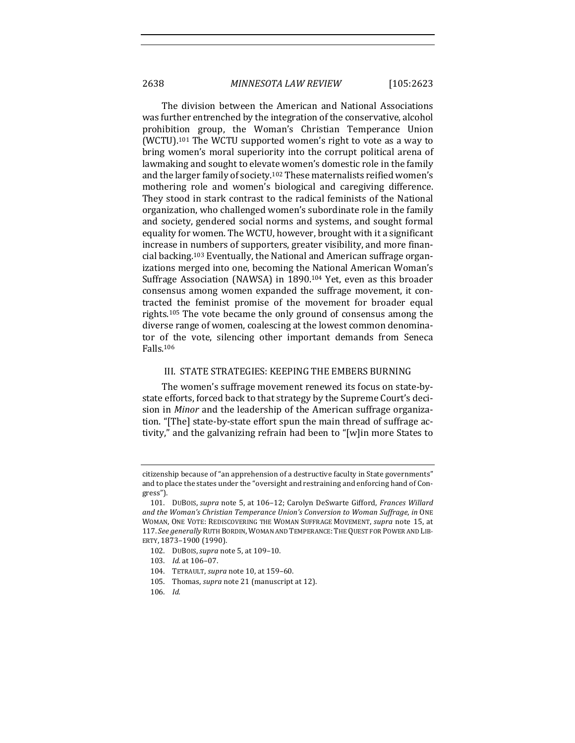The division between the American and National Associations was further entrenched by the integration of the conservative, alcohol prohibition group, the Woman's Christian Temperance Union (WCTU).<sup>101</sup> The WCTU supported women's right to vote as a way to bring women's moral superiority into the corrupt political arena of lawmaking and sought to elevate women's domestic role in the family and the larger family of society.<sup>102</sup> These maternalists reified women's mothering role and women's biological and caregiving difference. They stood in stark contrast to the radical feminists of the National organization, who challenged women's subordinate role in the family and society, gendered social norms and systems, and sought formal equality for women. The WCTU, however, brought with it a significant increase in numbers of supporters, greater visibility, and more financial backing.<sup>103</sup> Eventually, the National and American suffrage organizations merged into one, becoming the National American Woman's Suffrage Association (NAWSA) in 1890.<sup>104</sup> Yet, even as this broader consensus among women expanded the suffrage movement, it contracted the feminist promise of the movement for broader equal rights.<sup>105</sup> The vote became the only ground of consensus among the diverse range of women, coalescing at the lowest common denominator of the vote, silencing other important demands from Seneca Falls.106

#### III. STATE STRATEGIES: KEEPING THE EMBERS BURNING

The women's suffrage movement renewed its focus on state-bystate efforts, forced back to that strategy by the Supreme Court's decision in *Minor* and the leadership of the American suffrage organization. "[The] state-by-state effort spun the main thread of suffrage activity," and the galvanizing refrain had been to "[w]in more States to

citizenship because of "an apprehension of a destructive faculty in State governments" and to place the states under the "oversight and restraining and enforcing hand of Congress").

<sup>101.</sup> DUBOIS, *supra* note 5, at 106-12; Carolyn DeSwarte Gifford, *Frances Willard* and the Woman's Christian Temperance Union's Conversion to Woman Suffrage, in ONE WOMAN, ONE VOTE: REDISCOVERING THE WOMAN SUFFRAGE MOVEMENT, *supra* note 15, at 117. See generally RUTH BORDIN, WOMAN AND TEMPERANCE: THE QUEST FOR POWER AND LIB-ERTY, 1873–1900 (1990).

<sup>102.</sup> DUBOIS, *supra* note 5, at 109-10.

<sup>103.</sup> *Id.* at 106-07.

<sup>104.</sup> TETRAULT, *supra* note 10, at 159-60.

<sup>105.</sup> Thomas, *supra* note 21 (manuscript at 12).

<sup>106.</sup> *Id.*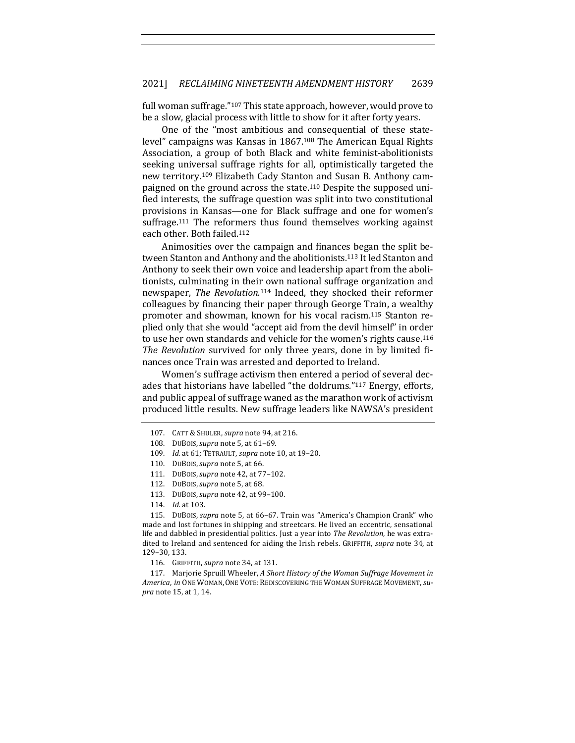full woman suffrage." $107$  This state approach, however, would prove to be a slow, glacial process with little to show for it after forty years.

One of the "most ambitious and consequential of these statelevel" campaigns was Kansas in  $1867<sup>108</sup>$  The American Equal Rights Association, a group of both Black and white feminist-abolitionists seeking universal suffrage rights for all, optimistically targeted the new territory.<sup>109</sup> Elizabeth Cady Stanton and Susan B. Anthony campaigned on the ground across the state.<sup>110</sup> Despite the supposed unified interests, the suffrage question was split into two constitutional provisions in Kansas—one for Black suffrage and one for women's suffrage.<sup>111</sup> The reformers thus found themselves working against each other. Both failed.<sup>112</sup>

Animosities over the campaign and finances began the split between Stanton and Anthony and the abolitionists.<sup>113</sup> It led Stanton and Anthony to seek their own voice and leadership apart from the abolitionists, culminating in their own national suffrage organization and newspaper, *The Revolution*.<sup>114</sup> Indeed, they shocked their reformer colleagues by financing their paper through George Train, a wealthy promoter and showman, known for his vocal racism.<sup>115</sup> Stanton replied only that she would "accept aid from the devil himself" in order to use her own standards and vehicle for the women's rights cause.<sup>116</sup> The Revolution survived for only three years, done in by limited finances once Train was arrested and deported to Ireland.

Women's suffrage activism then entered a period of several decades that historians have labelled "the doldrums."<sup>117</sup> Energy, efforts, and public appeal of suffrage waned as the marathon work of activism produced little results. New suffrage leaders like NAWSA's president

115. DUBOIS, *supra* note 5, at 66-67. Train was "America's Champion Crank" who made and lost fortunes in shipping and streetcars. He lived an eccentric, sensational life and dabbled in presidential politics. Just a year into *The Revolution*, he was extradited to Ireland and sentenced for aiding the Irish rebels. GRIFFITH, *supra* note 34, at 129–30, 133.

116. GRIFFITH, *supra* note 34, at 131.

117. Marjorie Spruill Wheeler, *A Short History of the Woman Suffrage Movement in* America, in ONE WOMAN, ONE VOTE: REDISCOVERING THE WOMAN SUFFRAGE MOVEMENT, su*pra* note 15, at 1, 14.

<sup>107.</sup> CATT & SHULER, *supra* note 94, at 216.

<sup>108.</sup> DUBOIS, *supra* note 5, at 61-69.

<sup>109.</sup> *Id.* at 61; TETRAULT, *supra* note 10, at 19-20.

<sup>110.</sup> DUBOIS, *supra* note 5, at 66.

<sup>111.</sup> DUBOIS, *supra* note 42, at 77-102.

<sup>112.</sup> DUBOIS, *supra* note 5, at 68.

<sup>113.</sup> DUBOIS, *supra* note 42, at 99-100.

<sup>114.</sup> *Id.* at 103.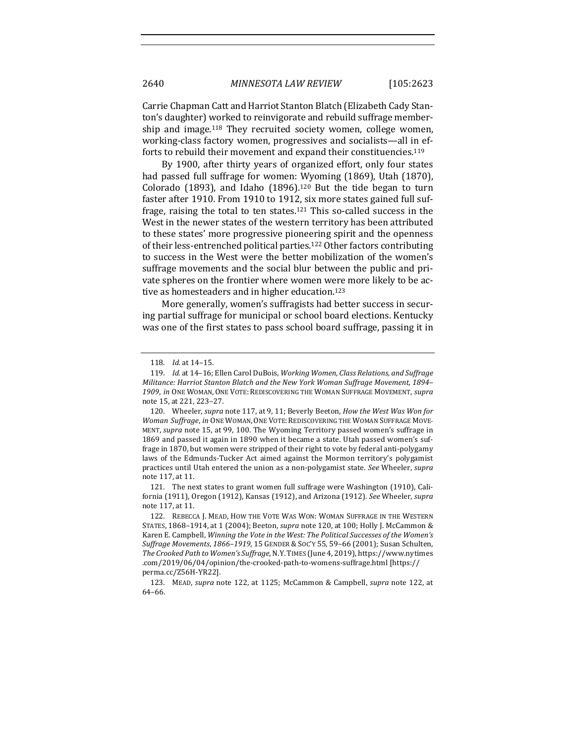Carrie Chapman Catt and Harriot Stanton Blatch (Elizabeth Cady Stanton's daughter) worked to reinvigorate and rebuild suffrage membership and image.<sup>118</sup> They recruited society women, college women, working-class factory women, progressives and socialists—all in efforts to rebuild their movement and expand their constituencies.<sup>119</sup>

By 1900, after thirty years of organized effort, only four states had passed full suffrage for women: Wyoming (1869), Utah (1870), Colorado (1893), and Idaho (1896).<sup>120</sup> But the tide began to turn faster after 1910. From 1910 to 1912, six more states gained full suffrage, raising the total to ten states.<sup>121</sup> This so-called success in the West in the newer states of the western territory has been attributed to these states' more progressive pioneering spirit and the openness of their less-entrenched political parties.<sup>122</sup> Other factors contributing to success in the West were the better mobilization of the women's suffrage movements and the social blur between the public and private spheres on the frontier where women were more likely to be active as homesteaders and in higher education.<sup>123</sup>

More generally, women's suffragists had better success in securing partial suffrage for municipal or school board elections. Kentucky was one of the first states to pass school board suffrage, passing it in

121. The next states to grant women full suffrage were Washington (1910), California (1911), Oregon (1912), Kansas (1912), and Arizona (1912). *See* Wheeler, *supra* note 117, at 11.

<sup>118.</sup> *Id.* at 14-15.

<sup>119.</sup> Id. at 14-16; Ellen Carol DuBois, Working Women, Class Relations, and Suffrage *Militance: Harriot Stanton Blatch and the New York Woman Suffrage Movement, 1894–* 1909, in ONE WOMAN, ONE VOTE: REDISCOVERING THE WOMAN SUFFRAGE MOVEMENT, *supra* note 15, at 221, 223-27.

<sup>120.</sup> Wheeler, *supra* note 117, at 9, 11; Beverly Beeton, *How the West Was Won for Woman Suffrage, in* ONE WOMAN, ONE VOTE: REDISCOVERING THE WOMAN SUFFRAGE MOVE-MENT, *supra* note 15, at 99, 100. The Wyoming Territory passed women's suffrage in 1869 and passed it again in 1890 when it became a state. Utah passed women's suffrage in 1870, but women were stripped of their right to vote by federal anti-polygamy laws of the Edmunds-Tucker Act aimed against the Mormon territory's polygamist practices until Utah entered the union as a non-polygamist state. See Wheeler, *supra* note 117, at 11.

<sup>122.</sup> REBECCA J. MEAD, HOW THE VOTE WAS WON: WOMAN SUFFRAGE IN THE WESTERN STATES, 1868-1914, at 1 (2004); Beeton, *supra* note 120, at 100; Holly J. McCammon & Karen E. Campbell, *Winning the Vote in the West: The Political Successes of the Women's Suffrage Movements, 1866-1919, 15 GENDER & SOC'Y 55, 59-66 (2001); Susan Schulten, The Crooked Path to Women's Suffrage*, N.Y. TIMES (June 4, 2019), https://www.nytimes .com/2019/06/04/opinion/the-crooked-path-to-womens-suffrage.html [https:// perma.cc/Z56H-YR22].

<sup>123.</sup> MEAD, *supra* note 122, at 1125; McCammon & Campbell, *supra* note 122, at 64–66.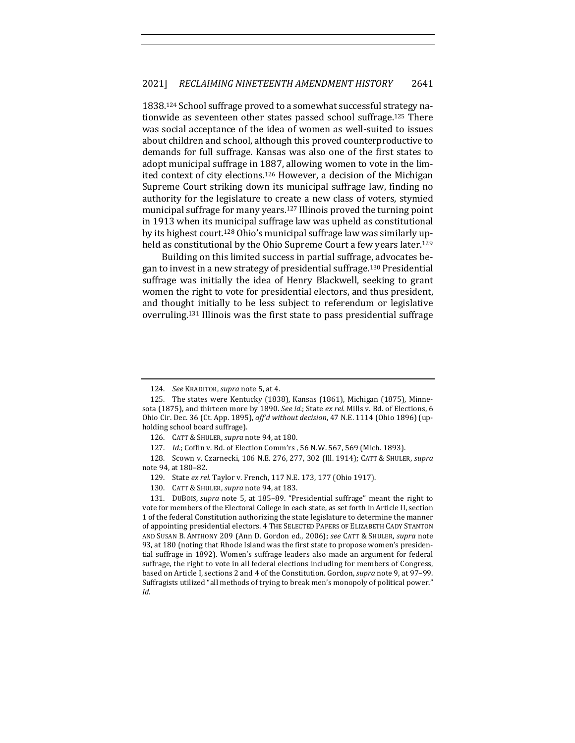1838.<sup>124</sup> School suffrage proved to a somewhat successful strategy nationwide as seventeen other states passed school suffrage.<sup>125</sup> There was social acceptance of the idea of women as well-suited to issues about children and school, although this proved counterproductive to demands for full suffrage. Kansas was also one of the first states to adopt municipal suffrage in 1887, allowing women to vote in the limited context of city elections.<sup>126</sup> However, a decision of the Michigan Supreme Court striking down its municipal suffrage law, finding no authority for the legislature to create a new class of voters, stymied municipal suffrage for many years.<sup>127</sup> Illinois proved the turning point in 1913 when its municipal suffrage law was upheld as constitutional by its highest court.<sup>128</sup> Ohio's municipal suffrage law was similarly upheld as constitutional by the Ohio Supreme Court a few years later.<sup>129</sup>

Building on this limited success in partial suffrage, advocates began to invest in a new strategy of presidential suffrage.<sup>130</sup> Presidential suffrage was initially the idea of Henry Blackwell, seeking to grant women the right to vote for presidential electors, and thus president, and thought initially to be less subject to referendum or legislative overruling.<sup>131</sup> Illinois was the first state to pass presidential suffrage

<sup>124.</sup> *See* KRADITOR, *supra* note 5, at 4.

<sup>125.</sup> The states were Kentucky (1838), Kansas (1861), Michigan (1875), Minnesota (1875), and thirteen more by 1890. *See id.*; State ex rel. Mills v. Bd. of Elections, 6 Ohio Cir. Dec. 36 (Ct. App. 1895), aff'd without decision, 47 N.E. 1114 (Ohio 1896) (upholding school board suffrage).

<sup>126.</sup> CATT & SHULER, *supra* note 94, at 180.

<sup>127.</sup> *Id.*; Coffin v. Bd. of Election Comm'rs , 56 N.W. 567, 569 (Mich. 1893).

<sup>128.</sup> Scown v. Czarnecki, 106 N.E. 276, 277, 302 (Ill. 1914); CATT & SHULER, *supra* note 94, at 180-82.

<sup>129.</sup> State ex rel. Taylor v. French, 117 N.E. 173, 177 (Ohio 1917).

<sup>130.</sup> CATT & SHULER, *supra* note 94, at 183.

<sup>131.</sup> DUBOIS, *supra* note 5, at 185-89. "Presidential suffrage" meant the right to vote for members of the Electoral College in each state, as set forth in Article II, section 1 of the federal Constitution authorizing the state legislature to determine the manner of appointing presidential electors. 4 THE SELECTED PAPERS OF ELIZABETH CADY STANTON AND SUSAN B. ANTHONY 209 (Ann D. Gordon ed., 2006); *see* CATT & SHULER, *supra* note 93, at 180 (noting that Rhode Island was the first state to propose women's presidential suffrage in 1892). Women's suffrage leaders also made an argument for federal suffrage, the right to vote in all federal elections including for members of Congress, based on Article I, sections 2 and 4 of the Constitution. Gordon, *supra* note 9, at 97-99. Suffragists utilized "all methods of trying to break men's monopoly of political power." *Id.*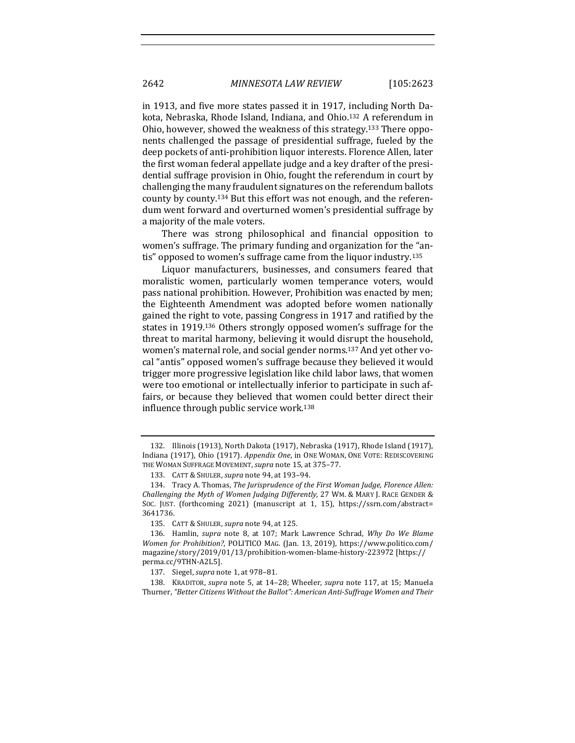in 1913, and five more states passed it in 1917, including North Dakota, Nebraska, Rhode Island, Indiana, and Ohio.<sup>132</sup> A referendum in Ohio, however, showed the weakness of this strategy.<sup>133</sup> There opponents challenged the passage of presidential suffrage, fueled by the deep pockets of anti-prohibition liquor interests. Florence Allen, later the first woman federal appellate judge and a key drafter of the presidential suffrage provision in Ohio, fought the referendum in court by challenging the many fraudulent signatures on the referendum ballots county by county.<sup>134</sup> But this effort was not enough, and the referendum went forward and overturned women's presidential suffrage by a majority of the male voters.

There was strong philosophical and financial opposition to women's suffrage. The primary funding and organization for the "antis" opposed to women's suffrage came from the liquor industry.<sup>135</sup>

Liquor manufacturers, businesses, and consumers feared that moralistic women, particularly women temperance voters, would pass national prohibition. However, Prohibition was enacted by men; the Eighteenth Amendment was adopted before women nationally gained the right to vote, passing Congress in 1917 and ratified by the states in 1919.<sup>136</sup> Others strongly opposed women's suffrage for the threat to marital harmony, believing it would disrupt the household, women's maternal role, and social gender norms.<sup>137</sup> And yet other vocal "antis" opposed women's suffrage because they believed it would trigger more progressive legislation like child labor laws, that women were too emotional or intellectually inferior to participate in such affairs, or because they believed that women could better direct their influence through public service work.<sup>138</sup>

<sup>132.</sup> Illinois (1913), North Dakota (1917), Nebraska (1917), Rhode Island (1917), Indiana (1917), Ohio (1917). *Appendix One*, in ONE WOMAN, ONE VOTE: REDISCOVERING THE WOMAN SUFFRAGE MOVEMENT, *supra* note 15, at 375-77.

<sup>133.</sup> CATT & SHULER, *supra* note 94, at 193-94.

<sup>134.</sup> Tracy A. Thomas, *The Jurisprudence of the First Woman Judge, Florence Allen:* Challenging the Myth of Women Judging Differently, 27 WM. & MARY J. RACE GENDER & Soc. JUST. (forthcoming 2021) (manuscript at 1, 15), https://ssrn.com/abstract= 3641736.

<sup>135.</sup> CATT & SHULER, *supra* note 94, at 125.

<sup>136.</sup> Hamlin, *supra* note 8, at 107; Mark Lawrence Schrad, *Why Do We Blame Women for Prohibition?*, POLITICO MAG. (Jan. 13, 2019), https://www.politico.com/ magazine/story/2019/01/13/prohibition-women-blame-history-223972 [https:// perma.cc/9THN-A2L5]. 

<sup>137.</sup> Siegel, *supra* note 1, at 978-81.

<sup>138.</sup> KRADITOR, *supra* note 5, at 14–28; Wheeler, *supra* note 117, at 15; Manuela Thurner, "Better Citizens Without the Ballot": American Anti-Suffrage Women and Their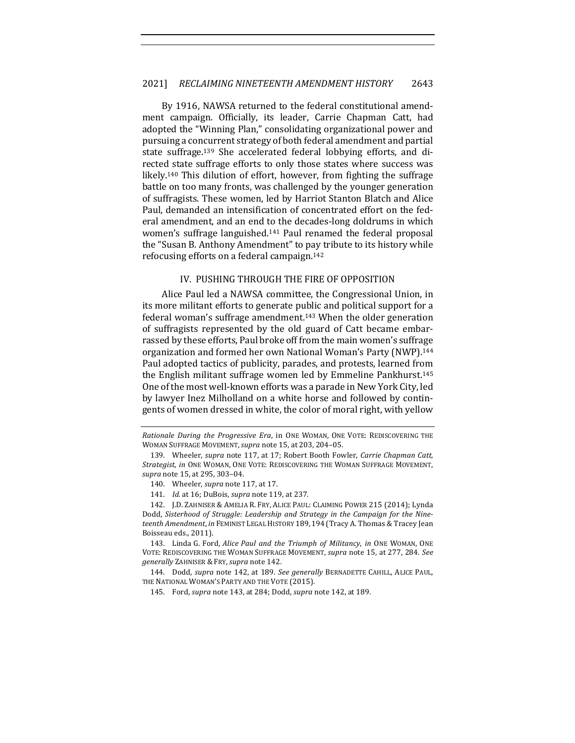By 1916, NAWSA returned to the federal constitutional amendment campaign. Officially, its leader, Carrie Chapman Catt, had adopted the "Winning Plan," consolidating organizational power and pursuing a concurrent strategy of both federal amendment and partial state suffrage.<sup>139</sup> She accelerated federal lobbying efforts, and directed state suffrage efforts to only those states where success was likely.<sup>140</sup> This dilution of effort, however, from fighting the suffrage battle on too many fronts, was challenged by the younger generation of suffragists. These women, led by Harriot Stanton Blatch and Alice Paul, demanded an intensification of concentrated effort on the federal amendment, and an end to the decades-long doldrums in which women's suffrage languished.<sup>141</sup> Paul renamed the federal proposal the "Susan B. Anthony Amendment" to pay tribute to its history while refocusing efforts on a federal campaign.<sup>142</sup>

#### IV. PUSHING THROUGH THE FIRE OF OPPOSITION

Alice Paul led a NAWSA committee, the Congressional Union, in its more militant efforts to generate public and political support for a federal woman's suffrage amendment.<sup>143</sup> When the older generation of suffragists represented by the old guard of Catt became embarrassed by these efforts, Paul broke off from the main women's suffrage organization and formed her own National Woman's Party (NWP).<sup>144</sup> Paul adopted tactics of publicity, parades, and protests, learned from the English militant suffrage women led by Emmeline Pankhurst.<sup>145</sup> One of the most well-known efforts was a parade in New York City, led by lawyer Inez Milholland on a white horse and followed by contingents of women dressed in white, the color of moral right, with yellow

143. Linda G. Ford, *Alice Paul and the Triumph of Militancy*, *in* ONE WOMAN, ONE VOTE: REDISCOVERING THE WOMAN SUFFRAGE MOVEMENT, *supra* note 15, at 277, 284. See *generally* ZAHNISER & FRY,*supra* note 142.

144. Dodd, *supra* note 142, at 189. See generally BERNADETTE CAHILL, ALICE PAUL, THE NATIONAL WOMAN'S PARTY AND THE VOTE (2015).

145. Ford, *supra* note 143, at 284; Dodd, *supra* note 142, at 189.

*Rationale During the Progressive Era*, in ONE WOMAN, ONE VOTE: REDISCOVERING THE WOMAN SUFFRAGE MOVEMENT, *supra* note 15, at 203, 204-05.

<sup>139.</sup> Wheeler, *supra* note 117, at 17; Robert Booth Fowler, *Carrie Chapman Catt*, Strategist, in ONE WOMAN, ONE VOTE: REDISCOVERING THE WOMAN SUFFRAGE MOVEMENT, *supra* note 15, at 295, 303–04.

<sup>140.</sup> Wheeler, *supra* note 117, at 17.

<sup>141.</sup> *Id.* at 16; DuBois, *supra* note 119, at 237.

<sup>142.</sup> J.D. ZAHNISER & AMELIA R. FRY, ALICE PAUL: CLAIMING POWER 215 (2014); Lynda Dodd, Sisterhood of Struggle: Leadership and Strategy in the Campaign for the Nineteenth Amendment, in FEMINIST LEGAL HISTORY 189, 194 (Tracy A. Thomas & Tracey Jean Boisseau eds., 2011).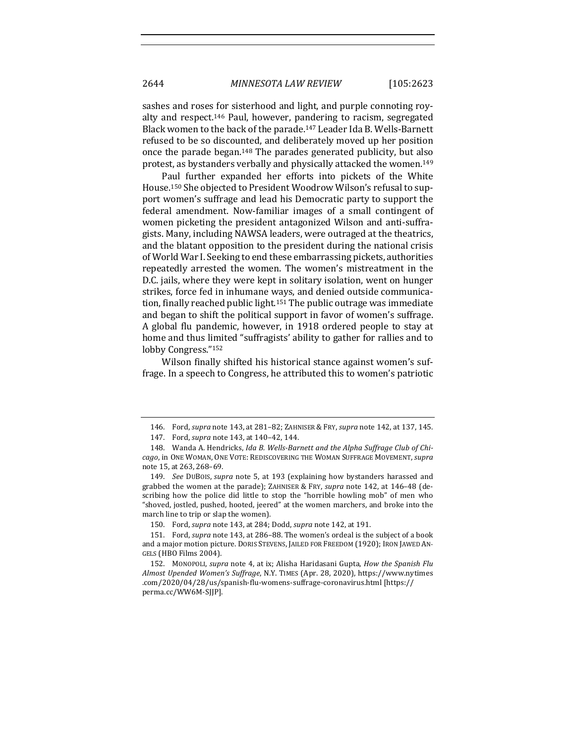sashes and roses for sisterhood and light, and purple connoting royalty and respect.<sup>146</sup> Paul, however, pandering to racism, segregated Black women to the back of the parade.<sup>147</sup> Leader Ida B. Wells-Barnett refused to be so discounted, and deliberately moved up her position once the parade began.<sup>148</sup> The parades generated publicity, but also protest, as bystanders verbally and physically attacked the women.<sup>149</sup>

Paul further expanded her efforts into pickets of the White House.<sup>150</sup> She objected to President Woodrow Wilson's refusal to support women's suffrage and lead his Democratic party to support the federal amendment. Now-familiar images of a small contingent of women picketing the president antagonized Wilson and anti-suffragists. Many, including NAWSA leaders, were outraged at the theatrics, and the blatant opposition to the president during the national crisis of World War I. Seeking to end these embarrassing pickets, authorities repeatedly arrested the women. The women's mistreatment in the D.C. jails, where they were kept in solitary isolation, went on hunger strikes, force fed in inhumane ways, and denied outside communication, finally reached public light.<sup>151</sup> The public outrage was immediate and began to shift the political support in favor of women's suffrage. A global flu pandemic, however, in 1918 ordered people to stay at home and thus limited "suffragists' ability to gather for rallies and to lobby Congress."<sup>152</sup>

Wilson finally shifted his historical stance against women's suffrage. In a speech to Congress, he attributed this to women's patriotic

<sup>146.</sup> Ford, *supra* note 143, at 281-82; ZAHNISER & FRY, *supra* note 142, at 137, 145.

<sup>147.</sup> Ford, *supra* note 143, at 140-42, 144.

<sup>148.</sup> Wanda A. Hendricks, Ida B. Wells-Barnett and the Alpha Suffrage Club of Chi*cago*, in ONE WOMAN, ONE VOTE: REDISCOVERING THE WOMAN SUFFRAGE MOVEMENT, *supra* note 15, at 263, 268-69.

<sup>149.</sup> *See* DUBOIS, *supra* note 5, at 193 (explaining how bystanders harassed and grabbed the women at the parade); ZAHNISER & FRY, *supra* note 142, at 146-48 (describing how the police did little to stop the "horrible howling mob" of men who "shoved, jostled, pushed, hooted, jeered" at the women marchers, and broke into the march line to trip or slap the women).

<sup>150.</sup> Ford, *supra* note 143, at 284; Dodd, *supra* note 142, at 191.

<sup>151.</sup> Ford, *supra* note 143, at 286–88. The women's ordeal is the subject of a book and a major motion picture. DORIS STEVENS, JAILED FOR FREEDOM (1920); IRON JAWED AN-GELS (HBO Films 2004).

<sup>152.</sup> MONOPOLI, *supra* note 4, at ix; Alisha Haridasani Gupta, *How the Spanish Flu Almost Upended Women's Suffrage*, N.Y. TIMES (Apr. 28, 2020), https://www.nytimes .com/2020/04/28/us/spanish-flu-womens-suffrage-coronavirus.html [https:// perma.cc/WW6M-SJJP].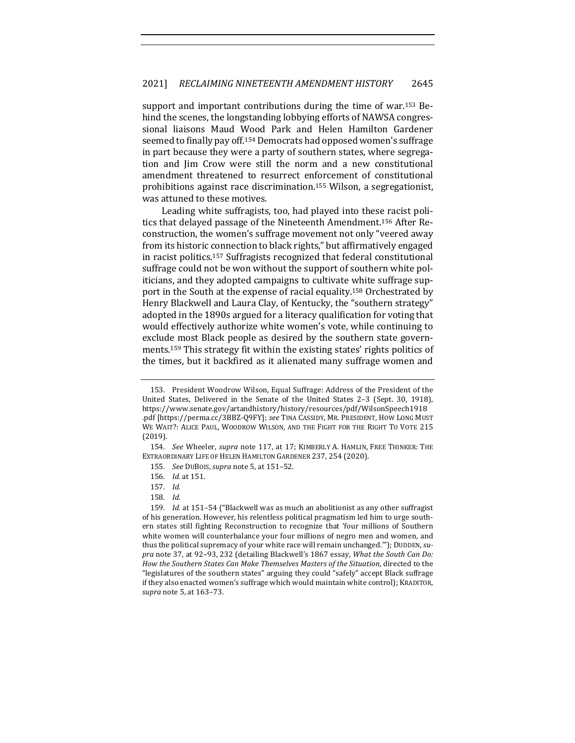support and important contributions during the time of war.<sup>153</sup> Behind the scenes, the longstanding lobbying efforts of NAWSA congressional liaisons Maud Wood Park and Helen Hamilton Gardener seemed to finally pay off.<sup>154</sup> Democrats had opposed women's suffrage in part because they were a party of southern states, where segregation and Jim Crow were still the norm and a new constitutional amendment threatened to resurrect enforcement of constitutional prohibitions against race discrimination.<sup>155</sup> Wilson, a segregationist, was attuned to these motives.

Leading white suffragists, too, had played into these racist politics that delayed passage of the Nineteenth Amendment.<sup>156</sup> After Reconstruction, the women's suffrage movement not only "veered away from its historic connection to black rights," but affirmatively engaged in racist politics.<sup>157</sup> Suffragists recognized that federal constitutional suffrage could not be won without the support of southern white politicians, and they adopted campaigns to cultivate white suffrage support in the South at the expense of racial equality.<sup>158</sup> Orchestrated by Henry Blackwell and Laura Clay, of Kentucky, the "southern strategy" adopted in the 1890s argued for a literacy qualification for voting that would effectively authorize white women's vote, while continuing to exclude most Black people as desired by the southern state governments.<sup>159</sup> This strategy fit within the existing states' rights politics of the times, but it backfired as it alienated many suffrage women and

<sup>153.</sup> President Woodrow Wilson, Equal Suffrage: Address of the President of the United States, Delivered in the Senate of the United States 2-3 (Sept. 30, 1918), https://www.senate.gov/artandhistory/history/resources/pdf/WilsonSpeech1918 .pdf [https://perma.cc/3BBZ-Q9FY]; see TINA CASSIDY, MR. PRESIDENT, HOW LONG MUST WE WAIT?: ALICE PAUL, WOODROW WILSON, AND THE FIGHT FOR THE RIGHT TO VOTE 215 (2019).

<sup>154.</sup> *See* Wheeler, *supra* note 117, at 17; KIMBERLY A. HAMLIN, FREE THINKER: THE EXTRAORDINARY LIFE OF HELEN HAMILTON GARDENER 237, 254 (2020).

<sup>155.</sup> *See* DUBOIS,*supra* note 5, at 151–52.

<sup>156.</sup> *Id.* at 151.

<sup>157.</sup> *Id.*

<sup>158.</sup> *Id.*

<sup>159.</sup> *Id.* at 151–54 ("Blackwell was as much an abolitionist as any other suffragist of his generation. However, his relentless political pragmatism led him to urge southern states still fighting Reconstruction to recognize that 'four millions of Southern white women will counterbalance your four millions of negro men and women, and thus the political supremacy of your white race will remain unchanged.""); DUDDEN, *supra* note 37, at 92-93, 232 (detailing Blackwell's 1867 essay, *What the South Can Do: How the Southern States Can Make Themselves Masters of the Situation, directed to the* "legislatures of the southern states" arguing they could "safely" accept Black suffrage if they also enacted women's suffrage which would maintain white control); KRADITOR, *supra* note 5, at 163-73.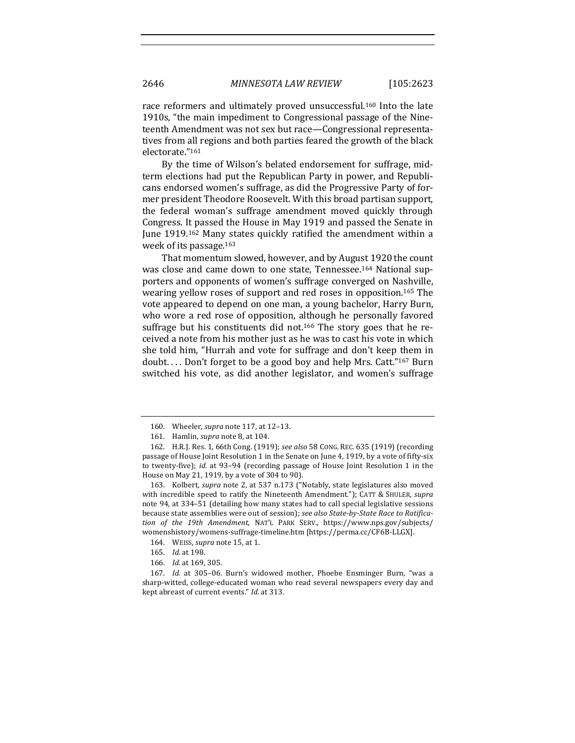race reformers and ultimately proved unsuccessful.<sup>160</sup> Into the late 1910s, "the main impediment to Congressional passage of the Nineteenth Amendment was not sex but race—Congressional representatives from all regions and both parties feared the growth of the black electorate."161

By the time of Wilson's belated endorsement for suffrage, midterm elections had put the Republican Party in power, and Republicans endorsed women's suffrage, as did the Progressive Party of former president Theodore Roosevelt. With this broad partisan support, the federal woman's suffrage amendment moved quickly through Congress. It passed the House in May 1919 and passed the Senate in June 1919.<sup>162</sup> Many states quickly ratified the amendment within a week of its passage.<sup>163</sup>

That momentum slowed, however, and by August 1920 the count was close and came down to one state, Tennessee.<sup>164</sup> National supporters and opponents of women's suffrage converged on Nashville, wearing yellow roses of support and red roses in opposition.<sup>165</sup> The vote appeared to depend on one man, a young bachelor, Harry Burn, who wore a red rose of opposition, although he personally favored suffrage but his constituents did not.<sup>166</sup> The story goes that he received a note from his mother just as he was to cast his vote in which she told him, "Hurrah and vote for suffrage and don't keep them in doubt.... Don't forget to be a good boy and help Mrs. Catt."<sup>167</sup> Burn switched his vote, as did another legislator, and women's suffrage

<sup>160.</sup> Wheeler, *supra* note 117, at 12-13.

<sup>161.</sup> Hamlin, *supra* note 8, at 104.

<sup>162.</sup> H.R.J. Res. 1, 66th Cong. (1919); see also 58 Cong. REC. 635 (1919) (recording passage of House Joint Resolution 1 in the Senate on June 4, 1919, by a vote of fifty-six to twenty-five); *id.* at 93-94 (recording passage of House Joint Resolution 1 in the House on May 21, 1919, by a vote of 304 to 90).

<sup>163.</sup> Kolbert, *supra* note 2, at 537 n.173 ("Notably, state legislatures also moved with incredible speed to ratify the Nineteenth Amendment."); CATT & SHULER, *supra* note 94, at 334-51 (detailing how many states had to call special legislative sessions because state assemblies were out of session); *see also State-by-State Race to Ratification of the 19th Amendment*, NAT'L PARK SERV., https://www.nps.gov/subjects/ womenshistory/womens-suffrage-timeline.htm [https://perma.cc/CF6B-LLGX].

<sup>164.</sup> WEISS, *supra* note 15, at 1.

<sup>165.</sup> *Id.* at 198.

<sup>166.</sup> *Id.* at 169, 305.

<sup>167.</sup> *Id.* at 305-06. Burn's widowed mother, Phoebe Ensminger Burn, "was a sharp-witted, college-educated woman who read several newspapers every day and kept abreast of current events." *Id.* at 313.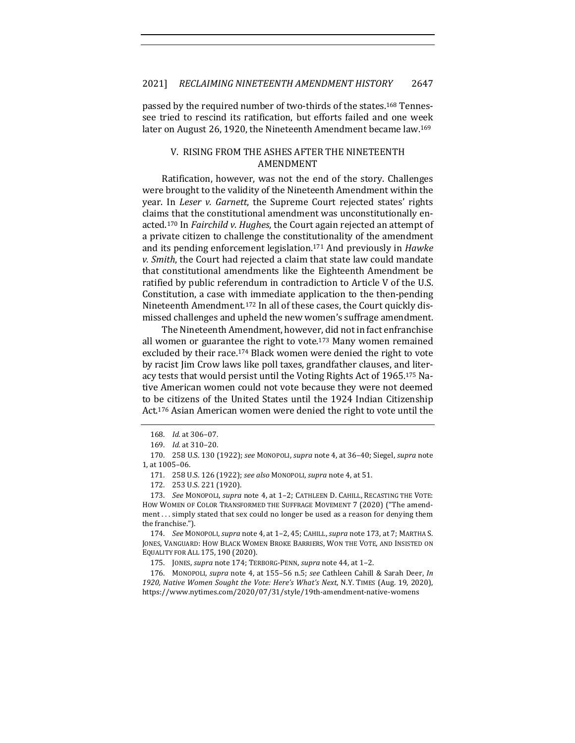passed by the required number of two-thirds of the states.<sup>168</sup> Tennessee tried to rescind its ratification, but efforts failed and one week later on August 26, 1920, the Nineteenth Amendment became law.<sup>169</sup>

#### V. RISING FROM THE ASHES AFTER THE NINETEENTH AMENDMENT

Ratification, however, was not the end of the story. Challenges were brought to the validity of the Nineteenth Amendment within the year. In *Leser v. Garnett*, the Supreme Court rejected states' rights claims that the constitutional amendment was unconstitutionally enacted.<sup>170</sup> In *Fairchild v. Hughes*, the Court again rejected an attempt of a private citizen to challenge the constitutionality of the amendment and its pending enforcement legislation.<sup>171</sup> And previously in *Hawke v.* Smith, the Court had rejected a claim that state law could mandate that constitutional amendments like the Eighteenth Amendment be ratified by public referendum in contradiction to Article V of the U.S. Constitution, a case with immediate application to the then-pending Nineteenth Amendment.<sup>172</sup> In all of these cases, the Court quickly dismissed challenges and upheld the new women's suffrage amendment.

The Nineteenth Amendment, however, did not in fact enfranchise all women or guarantee the right to vote. $173$  Many women remained excluded by their race.<sup>174</sup> Black women were denied the right to vote by racist Jim Crow laws like poll taxes, grandfather clauses, and literacy tests that would persist until the Voting Rights Act of 1965.<sup>175</sup> Native American women could not vote because they were not deemed to be citizens of the United States until the 1924 Indian Citizenship Act.<sup>176</sup> Asian American women were denied the right to vote until the

<sup>168.</sup> *Id.* at 306-07.

<sup>169.</sup> *Id.* at 310–20.

<sup>170.</sup> 258 U.S. 130 (1922); *see* MONOPOLI, *supra* note 4, at 36–40; Siegel, *supra* note 1, at 1005-06.

<sup>171. 258</sup> U.S. 126 (1922); see also MONOPOLI, supra note 4, at 51.

<sup>172. 253</sup> U.S. 221 (1920).

<sup>173.</sup> *See MONOPOLI, supra note 4, at 1-2; CATHLEEN D. CAHILL, RECASTING THE VOTE:* HOW WOMEN OF COLOR TRANSFORMED THE SUFFRAGE MOVEMENT 7 (2020) ("The amendment ... simply stated that sex could no longer be used as a reason for denying them the franchise.").

<sup>174.</sup> *See* MONOPOLI, *supra* note 4, at 1-2, 45; CAHILL, *supra* note 173, at 7; MARTHA S. JONES, VANGUARD: HOW BLACK WOMEN BROKE BARRIERS, WON THE VOTE, AND INSISTED ON EQUALITY FOR ALL 175, 190 (2020).

<sup>175.</sup> JONES, *supra* note 174; TERBORG-PENN, *supra* note 44, at 1-2.

<sup>176.</sup> MONOPOLI, *supra* note 4, at 155-56 n.5; *see* Cathleen Cahill & Sarah Deer, *In* 1920, Native Women Sought the Vote: Here's What's Next, N.Y. TIMES (Aug. 19, 2020), https://www.nytimes.com/2020/07/31/style/19th-amendment-native-womens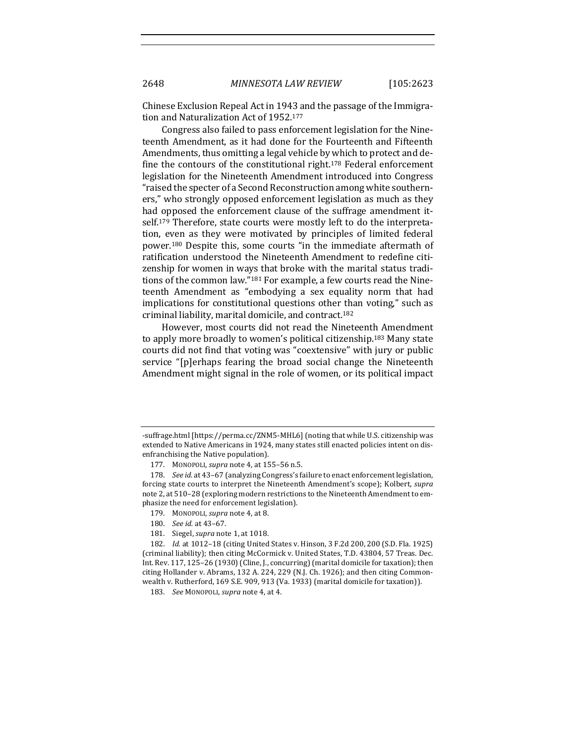Chinese Exclusion Repeal Act in 1943 and the passage of the Immigration and Naturalization Act of 1952.<sup>177</sup>

Congress also failed to pass enforcement legislation for the Nineteenth Amendment, as it had done for the Fourteenth and Fifteenth Amendments, thus omitting a legal vehicle by which to protect and define the contours of the constitutional right.<sup>178</sup> Federal enforcement legislation for the Nineteenth Amendment introduced into Congress "raised the specter of a Second Reconstruction among white southerners," who strongly opposed enforcement legislation as much as they had opposed the enforcement clause of the suffrage amendment itself.<sup>179</sup> Therefore, state courts were mostly left to do the interpretation, even as they were motivated by principles of limited federal power.<sup>180</sup> Despite this, some courts "in the immediate aftermath of ratification understood the Nineteenth Amendment to redefine citizenship for women in ways that broke with the marital status traditions of the common law."<sup>181</sup> For example, a few courts read the Nineteenth Amendment as "embodying a sex equality norm that had implications for constitutional questions other than voting," such as criminal liability, marital domicile, and contract.182

However, most courts did not read the Nineteenth Amendment to apply more broadly to women's political citizenship.<sup>183</sup> Many state courts did not find that voting was "coextensive" with jury or public service "[p]erhaps fearing the broad social change the Nineteenth Amendment might signal in the role of women, or its political impact

- 179. MONOPOLL *supra* note 4, at 8.
- 180. *See id.* at 43-67.
- 181. Siegel, *supra* note 1, at 1018.

<sup>-</sup>suffrage.html [https://perma.cc/ZNM5-MHL6] (noting that while U.S. citizenship was extended to Native Americans in 1924, many states still enacted policies intent on disenfranchising the Native population).

<sup>177.</sup> MONOPOLI, *supra* note 4, at 155-56 n.5.

<sup>178.</sup> *See id.* at 43-67 (analyzing Congress's failure to enact enforcement legislation, forcing state courts to interpret the Nineteenth Amendment's scope); Kolbert, *supra* note 2, at 510-28 (exploring modern restrictions to the Nineteenth Amendment to emphasize the need for enforcement legislation).

<sup>182.</sup> *Id.* at 1012-18 (citing United States v. Hinson, 3 F.2d 200, 200 (S.D. Fla. 1925) (criminal liability); then citing McCormick v. United States, T.D. 43804, 57 Treas. Dec. Int. Rev. 117, 125-26 (1930) (Cline, J., concurring) (marital domicile for taxation); then citing Hollander v. Abrams, 132 A. 224, 229 (N.J. Ch. 1926); and then citing Commonwealth v. Rutherford, 169 S.E. 909, 913 (Va. 1933) (marital domicile for taxation)).

<sup>183.</sup> *See MONOPOLI, supra note 4, at 4.*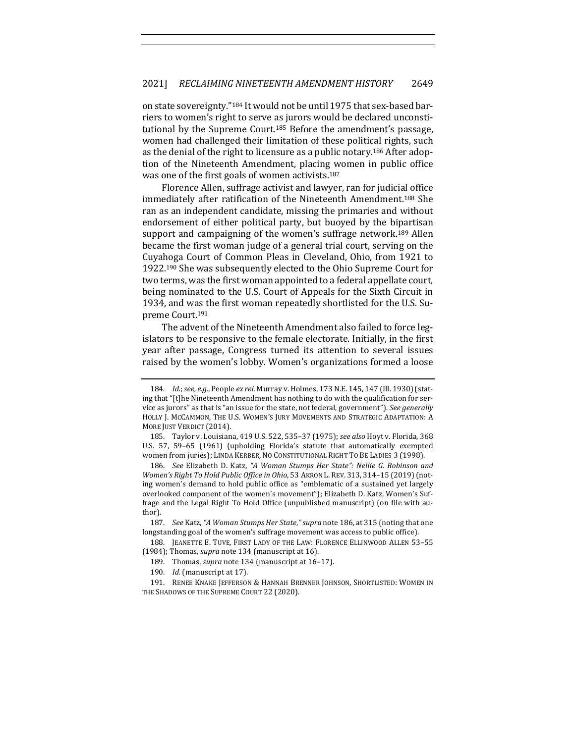on state sovereignty."<sup>184</sup> It would not be until 1975 that sex-based barriers to women's right to serve as jurors would be declared unconstitutional by the Supreme Court.<sup>185</sup> Before the amendment's passage, women had challenged their limitation of these political rights, such as the denial of the right to licensure as a public notary.<sup>186</sup> After adoption of the Nineteenth Amendment, placing women in public office was one of the first goals of women activists.<sup>187</sup>

Florence Allen, suffrage activist and lawyer, ran for judicial office immediately after ratification of the Nineteenth Amendment.<sup>188</sup> She ran as an independent candidate, missing the primaries and without endorsement of either political party, but buoyed by the bipartisan support and campaigning of the women's suffrage network.<sup>189</sup> Allen became the first woman judge of a general trial court, serving on the Cuyahoga Court of Common Pleas in Cleveland, Ohio, from 1921 to 1922.<sup>190</sup> She was subsequently elected to the Ohio Supreme Court for two terms, was the first woman appointed to a federal appellate court, being nominated to the U.S. Court of Appeals for the Sixth Circuit in 1934, and was the first woman repeatedly shortlisted for the U.S. Supreme Court.191

The advent of the Nineteenth Amendment also failed to force legislators to be responsive to the female electorate. Initially, in the first year after passage, Congress turned its attention to several issues raised by the women's lobby. Women's organizations formed a loose

<sup>184.</sup> *Id.*; see, e.g., People ex rel. Murray v. Holmes, 173 N.E. 145, 147 (Ill. 1930) (stating that "[t]he Nineteenth Amendment has nothing to do with the qualification for service as jurors" as that is "an issue for the state, not federal, government"). See generally HOLLY J. MCCAMMON, THE U.S. WOMEN'S JURY MOVEMENTS AND STRATEGIC ADAPTATION: A MORE JUST VERDICT (2014).

<sup>185.</sup> Taylor v. Louisiana, 419 U.S. 522, 535-37 (1975); see also Hoyt v. Florida, 368 U.S. 57, 59–65 (1961) (upholding Florida's statute that automatically exempted women from juries); LINDA KERBER, NO CONSTITUTIONAL RIGHT TO BE LADIES 3 (1998).

<sup>186.</sup> *See* Elizabeth D. Katz, "A Woman Stumps Her State": Nellie G. Robinson and *Women's Right To Hold Public Office in Ohio*, 53 AKRON L. REV. 313, 314-15 (2019) (noting women's demand to hold public office as "emblematic of a sustained yet largely overlooked component of the women's movement"); Elizabeth D. Katz, Women's Suffrage and the Legal Right To Hold Office (unpublished manuscript) (on file with author).

<sup>187.</sup> *See* Katz, "A Woman Stumps Her State," supra note 186, at 315 (noting that one longstanding goal of the women's suffrage movement was access to public office).

<sup>188.</sup> JEANETTE E. TUVE, FIRST LADY OF THE LAW: FLORENCE ELLINWOOD ALLEN 53-55 (1984); Thomas, *supra* note 134 (manuscript at 16).

<sup>189.</sup> Thomas, *supra* note 134 (manuscript at 16-17).

<sup>190.</sup> *Id.* (manuscript at 17).

<sup>191.</sup> RENEE KNAKE JEFFERSON & HANNAH BRENNER JOHNSON, SHORTLISTED: WOMEN IN THE SHADOWS OF THE SUPREME COURT 22 (2020).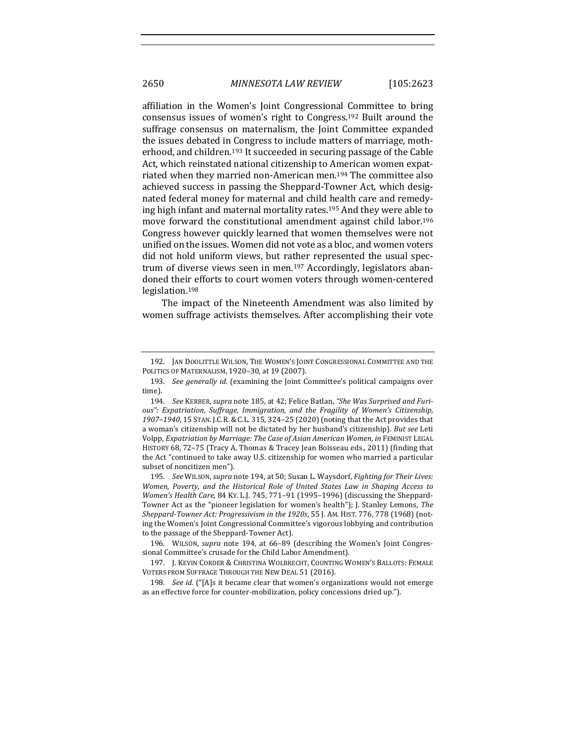affiliation in the Women's Joint Congressional Committee to bring consensus issues of women's right to Congress.<sup>192</sup> Built around the suffrage consensus on maternalism, the Joint Committee expanded the issues debated in Congress to include matters of marriage, motherhood, and children.<sup>193</sup> It succeeded in securing passage of the Cable Act, which reinstated national citizenship to American women expatriated when they married non-American men.<sup>194</sup> The committee also achieved success in passing the Sheppard-Towner Act, which designated federal money for maternal and child health care and remedying high infant and maternal mortality rates.<sup>195</sup> And they were able to move forward the constitutional amendment against child labor.<sup>196</sup> Congress however quickly learned that women themselves were not unified on the issues. Women did not vote as a bloc, and women voters did not hold uniform views, but rather represented the usual spectrum of diverse views seen in men.<sup>197</sup> Accordingly, legislators abandoned their efforts to court women voters through women-centered legislation.198

The impact of the Nineteenth Amendment was also limited by women suffrage activists themselves. After accomplishing their vote

195. *See* WILSON, *supra* note 194, at 50; Susan L. Waysdorf, *Fighting for Their Lives: Women, Poverty, and the Historical Role of United States Law in Shaping Access to Women's Health Care,* 84 KY. L.J. 745, 771-91 (1995-1996) (discussing the Sheppard-Towner Act as the "pioneer legislation for women's health"); J. Stanley Lemons, *The Sheppard-Towner Act: Progressivism in the 1920s*, 55 J. AM. HIST. 776, 778 (1968) (noting the Women's Joint Congressional Committee's vigorous lobbying and contribution to the passage of the Sheppard-Towner Act).

<sup>192.</sup> JAN DOOLITTLE WILSON, THE WOMEN'S JOINT CONGRESSIONAL COMMITTEE AND THE POLITICS OF MATERNALISM, 1920-30, at 19 (2007).

<sup>193.</sup> *See generally id.* (examining the Joint Committee's political campaigns over time).

<sup>194.</sup> See KERBER, *supra* note 185, at 42; Felice Batlan, "She Was Surprised and Furious": Expatriation, Suffrage, Immigration, and the Fragility of Women's Citizenship, 1907–1940, 15 STAN. J.C.R. & C.L. 315, 324–25 (2020) (noting that the Act provides that a woman's citizenship will not be dictated by her husband's citizenship). But see Leti Volpp, *Expatriation by Marriage: The Case of Asian American Women, in FEMINIST LEGAL* HISTORY 68, 72-75 (Tracy A. Thomas & Tracey Jean Boisseau eds., 2011) (finding that the Act "continued to take away U.S. citizenship for women who married a particular subset of noncitizen men").

<sup>196.</sup> WILSON, *supra* note 194, at 66–89 (describing the Women's Joint Congressional Committee's crusade for the Child Labor Amendment).

<sup>197.</sup> J. KEVIN CORDER & CHRISTINA WOLBRECHT, COUNTING WOMEN'S BALLOTS: FEMALE VOTERS FROM SUFFRAGE THROUGH THE NEW DEAL 51 (2016).

<sup>198.</sup> *See id.* ("[A]s it became clear that women's organizations would not emerge as an effective force for counter-mobilization, policy concessions dried up.").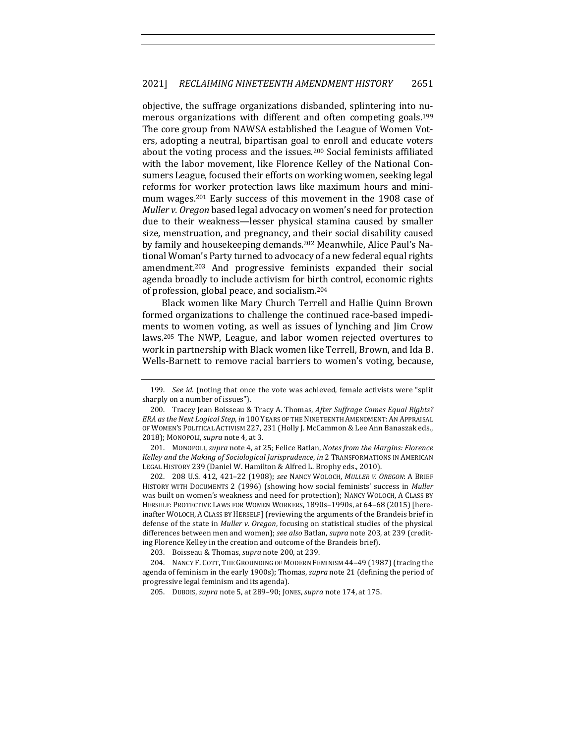objective, the suffrage organizations disbanded, splintering into numerous organizations with different and often competing goals.<sup>199</sup> The core group from NAWSA established the League of Women Voters, adopting a neutral, bipartisan goal to enroll and educate voters about the voting process and the issues.<sup>200</sup> Social feminists affiliated with the labor movement, like Florence Kelley of the National Consumers League, focused their efforts on working women, seeking legal reforms for worker protection laws like maximum hours and minimum wages.<sup>201</sup> Early success of this movement in the 1908 case of *Muller v. Oregon* based legal advocacy on women's need for protection due to their weakness—lesser physical stamina caused by smaller size, menstruation, and pregnancy, and their social disability caused by family and housekeeping demands.<sup>202</sup> Meanwhile, Alice Paul's National Woman's Party turned to advocacy of a new federal equal rights amendment.<sup>203</sup> And progressive feminists expanded their social agenda broadly to include activism for birth control, economic rights of profession, global peace, and socialism.<sup>204</sup>

Black women like Mary Church Terrell and Hallie Quinn Brown formed organizations to challenge the continued race-based impediments to women voting, as well as issues of lynching and  $\lim$  Crow laws.<sup>205</sup> The NWP, League, and labor women rejected overtures to work in partnership with Black women like Terrell, Brown, and Ida B. Wells-Barnett to remove racial barriers to women's voting, because,

201. MONOPOLI, *supra* note 4, at 25; Felice Batlan, *Notes from the Margins: Florence Kelley and the Making of Sociological Jurisprudence, in* 2 TRANSFORMATIONS IN AMERICAN LEGAL HISTORY 239 (Daniel W. Hamilton & Alfred L. Brophy eds., 2010).

202. 208 U.S. 412, 421–22 (1908); *see* NANCY WOLOCH, *MULLER V. OREGON*: A BRIEF HISTORY WITH DOCUMENTS 2 (1996) (showing how social feminists' success in *Muller* was built on women's weakness and need for protection); NANCY WOLOCH, A CLASS BY HERSELF: PROTECTIVE LAWS FOR WOMEN WORKERS, 1890s-1990s, at 64-68 (2015) [hereinafter WOLOCH, A CLASS BY HERSELF] (reviewing the arguments of the Brandeis brief in defense of the state in *Muller v. Oregon*, focusing on statistical studies of the physical differences between men and women); see also Batlan, supra note 203, at 239 (crediting Florence Kelley in the creation and outcome of the Brandeis brief).

203. Boisseau & Thomas, *supra* note 200, at 239.

204. NANCY F. COTT, THE GROUNDING OF MODERN FEMINISM 44-49 (1987) (tracing the agenda of feminism in the early 1900s); Thomas, *supra* note 21 (defining the period of progressive legal feminism and its agenda).

205. DUBOIS, *supra* note 5, at 289-90; JONES, *supra* note 174, at 175.

<sup>199.</sup> *See id.* (noting that once the vote was achieved, female activists were "split sharply on a number of issues").

<sup>200.</sup> Tracey Jean Boisseau & Tracy A. Thomas, After Suffrage Comes Equal Rights? *ERA* as the Next Logical Step, in 100 YEARS OF THE NINETEENTH AMENDMENT: AN APPRAISAL OF WOMEN'S POLITICAL ACTIVISM 227, 231 (Holly J. McCammon & Lee Ann Banaszak eds., 2018); MONOPOLI, *supra* note 4, at 3.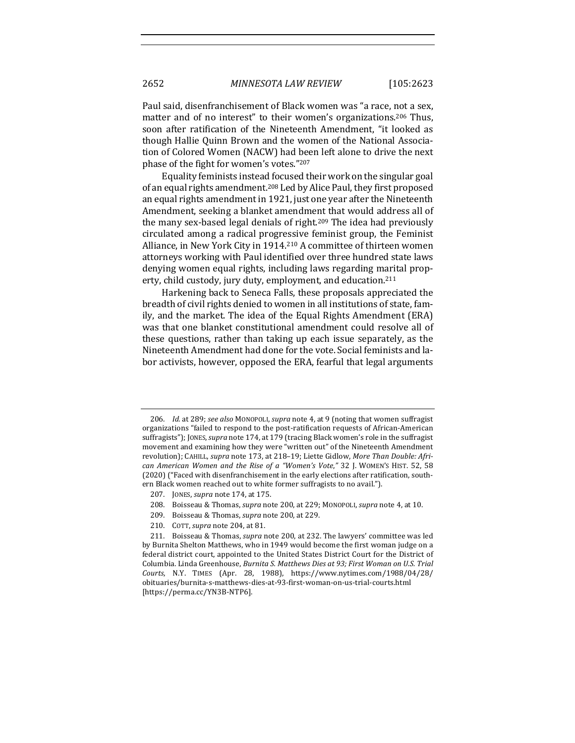Paul said, disenfranchisement of Black women was "a race, not a sex, matter and of no interest" to their women's organizations.<sup>206</sup> Thus, soon after ratification of the Nineteenth Amendment, "it looked as though Hallie Quinn Brown and the women of the National Association of Colored Women (NACW) had been left alone to drive the next phase of the fight for women's votes."207

Equality feminists instead focused their work on the singular goal of an equal rights amendment.<sup>208</sup> Led by Alice Paul, they first proposed an equal rights amendment in 1921, just one year after the Nineteenth Amendment, seeking a blanket amendment that would address all of the many sex-based legal denials of right.<sup>209</sup> The idea had previously circulated among a radical progressive feminist group, the Feminist Alliance, in New York City in 1914.<sup>210</sup> A committee of thirteen women attorneys working with Paul identified over three hundred state laws denying women equal rights, including laws regarding marital property, child custody, jury duty, employment, and education.<sup>211</sup>

Harkening back to Seneca Falls, these proposals appreciated the breadth of civil rights denied to women in all institutions of state, family, and the market. The idea of the Equal Rights Amendment (ERA) was that one blanket constitutional amendment could resolve all of these questions, rather than taking up each issue separately, as the Nineteenth Amendment had done for the vote. Social feminists and labor activists, however, opposed the ERA, fearful that legal arguments

- 208. Boisseau & Thomas, *supra* note 200, at 229; MONOPOLI, *supra* note 4, at 10.
- 209. Boisseau & Thomas, *supra* note 200, at 229.
- 210. COTT, *supra* note 204, at 81.

<sup>206.</sup> *Id.* at 289; see also MONOPOLI, supra note 4, at 9 (noting that women suffragist organizations "failed to respond to the post-ratification requests of African-American suffragists"); JONES, *supra* note 174, at 179 (tracing Black women's role in the suffragist movement and examining how they were "written out" of the Nineteenth Amendment revolution); CAHILL, *supra* note 173, at 218-19; Liette Gidlow, More Than Double: Afri*can American Women and the Rise of a "Women's Vote,"* 32 J. WOMEN'S HIST. 52, 58 (2020) ("Faced with disenfranchisement in the early elections after ratification, southern Black women reached out to white former suffragists to no avail.").

<sup>207.</sup> JONES, *supra* note 174, at 175.

<sup>211.</sup> Boisseau & Thomas, *supra* note 200, at 232. The lawyers' committee was led by Burnita Shelton Matthews, who in 1949 would become the first woman judge on a federal district court, appointed to the United States District Court for the District of Columbia. Linda Greenhouse, *Burnita S. Matthews Dies at 93; First Woman on U.S. Trial Courts*, N.Y. TIMES (Apr. 28, 1988), https://www.nytimes.com/1988/04/28/ obituaries/burnita-s-matthews-dies-at-93-first-woman-on-us-trial-courts.html [https://perma.cc/YN3B-NTP6].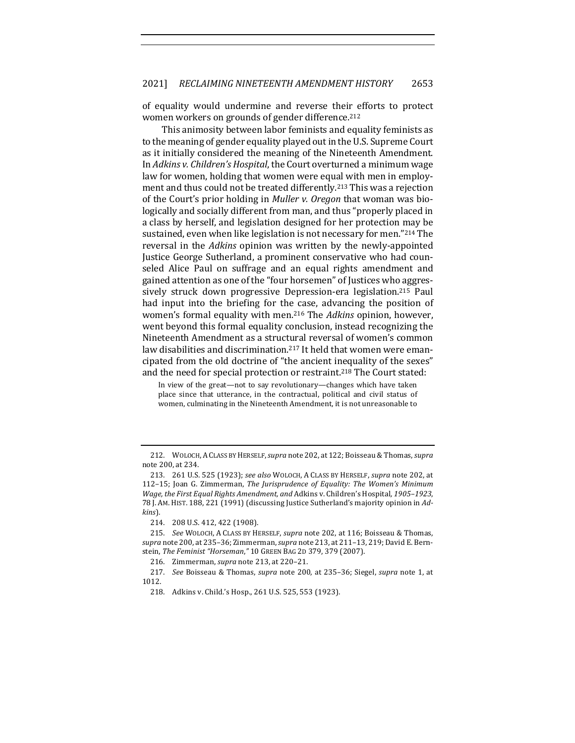of equality would undermine and reverse their efforts to protect women workers on grounds of gender difference.<sup>212</sup>

This animosity between labor feminists and equality feminists as to the meaning of gender equality played out in the U.S. Supreme Court as it initially considered the meaning of the Nineteenth Amendment. In *Adkins v. Children's Hospital*, the Court overturned a minimum wage law for women, holding that women were equal with men in employment and thus could not be treated differently.<sup>213</sup> This was a rejection of the Court's prior holding in *Muller v. Oregon* that woman was biologically and socially different from man, and thus "properly placed in a class by herself, and legislation designed for her protection may be sustained, even when like legislation is not necessary for men."214 The reversal in the *Adkins* opinion was written by the newly-appointed Justice George Sutherland, a prominent conservative who had counseled Alice Paul on suffrage and an equal rights amendment and gained attention as one of the "four horsemen" of Justices who aggressively struck down progressive Depression-era legislation.<sup>215</sup> Paul had input into the briefing for the case, advancing the position of women's formal equality with men.<sup>216</sup> The *Adkins* opinion, however, went beyond this formal equality conclusion, instead recognizing the Nineteenth Amendment as a structural reversal of women's common law disabilities and discrimination.<sup>217</sup> It held that women were emancipated from the old doctrine of "the ancient inequality of the sexes" and the need for special protection or restraint.<sup>218</sup> The Court stated:

In view of the great—not to say revolutionary—changes which have taken place since that utterance, in the contractual, political and civil status of women, culminating in the Nineteenth Amendment, it is not unreasonable to

<sup>212.</sup> WOLOCH, A CLASS BY HERSELF, *supra* note 202, at 122; Boisseau & Thomas, *supra* note 200, at 234.

<sup>213. 261</sup> U.S. 525 (1923); see also WOLOCH, A CLASS BY HERSELF, supra note 202, at 112-15; Joan G. Zimmerman, *The Jurisprudence of Equality: The Women's Minimum Wage, the First Equal Rights Amendment, and Adkins v. Children's Hospital, 1905–1923*, 78 J. Am. HIST. 188, 221 (1991) (discussing Justice Sutherland's majority opinion in Ad*kins*).

<sup>214. 208</sup> U.S. 412, 422 (1908).

<sup>215.</sup> *See* WOLOCH, A CLASS BY HERSELF, *supra* note 202, at 116; Boisseau & Thomas, *supra* note 200, at 235-36; Zimmerman, *supra* note 213, at 211-13, 219; David E. Bernstein, The Feminist "Horseman," 10 GREEN BAG 2D 379, 379 (2007).

<sup>216.</sup> Zimmerman, *supra* note 213, at 220-21.

<sup>217.</sup> *See* Boisseau & Thomas, *supra* note 200, at 235-36; Siegel, *supra* note 1, at 1012.

<sup>218.</sup> Adkins v. Child.'s Hosp., 261 U.S. 525, 553 (1923).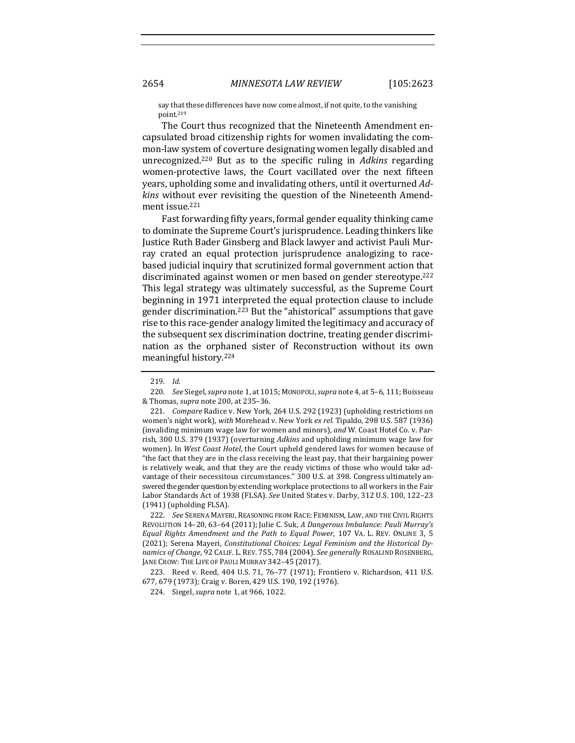say that these differences have now come almost, if not quite, to the vanishing point.219

The Court thus recognized that the Nineteenth Amendment encapsulated broad citizenship rights for women invalidating the common-law system of coverture designating women legally disabled and unrecognized.<sup>220</sup> But as to the specific ruling in *Adkins* regarding women-protective laws, the Court vacillated over the next fifteen years, upholding some and invalidating others, until it overturned Ad*kins* without ever revisiting the question of the Nineteenth Amendment issue.<sup>221</sup>

Fast forwarding fifty years, formal gender equality thinking came to dominate the Supreme Court's jurisprudence. Leading thinkers like Justice Ruth Bader Ginsberg and Black lawyer and activist Pauli Murray crated an equal protection jurisprudence analogizing to racebased judicial inquiry that scrutinized formal government action that discriminated against women or men based on gender stereotype.<sup>222</sup> This legal strategy was ultimately successful, as the Supreme Court beginning in 1971 interpreted the equal protection clause to include gender discrimination.<sup>223</sup> But the "ahistorical" assumptions that gave rise to this race-gender analogy limited the legitimacy and accuracy of the subsequent sex discrimination doctrine, treating gender discrimination as the orphaned sister of Reconstruction without its own meaningful history.<sup>224</sup>

221. *Compare* Radice v. New York, 264 U.S. 292 (1923) (upholding restrictions on women's night work), with Morehead v. New York ex rel. Tipaldo, 298 U.S. 587 (1936) (invaliding minimum wage law for women and minors), and W. Coast Hotel Co. v. Parrish, 300 U.S. 379 (1937) (overturning *Adkins* and upholding minimum wage law for women). In West Coast Hotel, the Court upheld gendered laws for women because of "the fact that they are in the class receiving the least pay, that their bargaining power is relatively weak, and that they are the ready victims of those who would take advantage of their necessitous circumstances." 300 U.S. at 398. Congress ultimately answered the gender question by extending workplace protections to all workers in the Fair Labor Standards Act of 1938 (FLSA). See United States v. Darby, 312 U.S. 100, 122-23  $(1941)$  (upholding FLSA).

222. *See SERENA MAYERI, REASONING FROM RACE: FEMINISM, LAW, AND THE CIVIL RIGHTS* REVOLUTION 14-20, 63-64 (2011); Julie C. Suk, *A Dangerous Imbalance: Pauli Murray's Equal Rights Amendment and the Path to Equal Power*, 107 VA. L. REV. ONLINE 3, 5 (2021); Serena Mayeri, *Constitutional Choices: Legal Feminism and the Historical Dynamics of Change*, 92 CALIF. L. REV. 755, 784 (2004). *See generally* ROSALIND ROSENBERG, JANE CROW: THE LIFE OF PAULI MURRAY 342-45 (2017).

223. Reed v. Reed, 404 U.S. 71, 76-77 (1971); Frontiero v. Richardson, 411 U.S. 677, 679 (1973); Craig v. Boren, 429 U.S. 190, 192 (1976).

224. Siegel, *supra* note 1, at 966, 1022.

<sup>219.</sup> *Id.*

<sup>220.</sup> *See* Siegel, *supra* note 1, at 1015; MONOPOLI, *supra* note 4, at 5-6, 111; Boisseau & Thomas, *supra* note 200, at 235–36.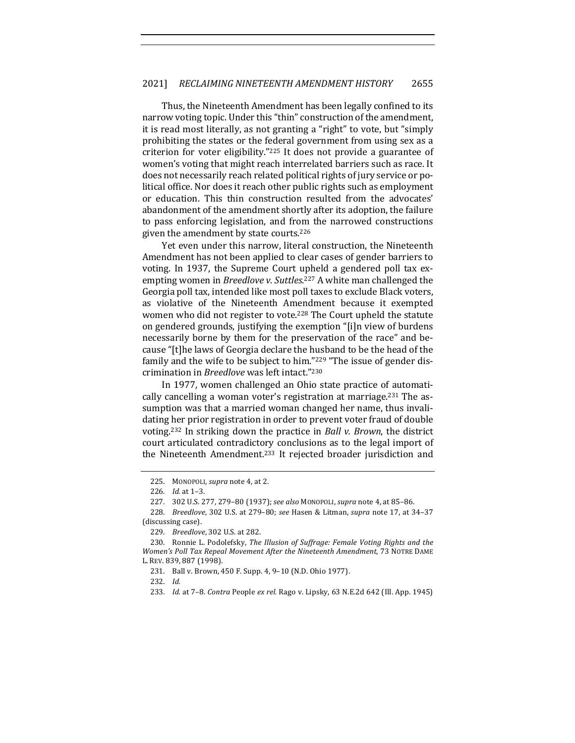Thus, the Nineteenth Amendment has been legally confined to its narrow voting topic. Under this "thin" construction of the amendment, it is read most literally, as not granting a "right" to vote, but "simply prohibiting the states or the federal government from using sex as a criterion for voter eligibility." $225$  It does not provide a guarantee of women's voting that might reach interrelated barriers such as race. It does not necessarily reach related political rights of jury service or political office. Nor does it reach other public rights such as employment or education. This thin construction resulted from the advocates' abandonment of the amendment shortly after its adoption, the failure to pass enforcing legislation, and from the narrowed constructions given the amendment by state courts. $226$ 

Yet even under this narrow, literal construction, the Nineteenth Amendment has not been applied to clear cases of gender barriers to voting. In 1937, the Supreme Court upheld a gendered poll tax exempting women in *Breedlove v. Suttles*.<sup>227</sup> A white man challenged the Georgia poll tax, intended like most poll taxes to exclude Black voters, as violative of the Nineteenth Amendment because it exempted women who did not register to vote.<sup>228</sup> The Court upheld the statute on gendered grounds, justifying the exemption "[i]n view of burdens necessarily borne by them for the preservation of the race" and because "[t]he laws of Georgia declare the husband to be the head of the family and the wife to be subject to him."229 "The issue of gender discrimination in *Breedlove* was left intact."<sup>230</sup>

In 1977, women challenged an Ohio state practice of automatically cancelling a woman voter's registration at marriage.<sup>231</sup> The assumption was that a married woman changed her name, thus invalidating her prior registration in order to prevent voter fraud of double voting.<sup>232</sup> In striking down the practice in *Ball v. Brown*, the district court articulated contradictory conclusions as to the legal import of the Nineteenth Amendment.<sup>233</sup> It rejected broader jurisdiction and

<sup>225.</sup> MONOPOLI, *supra* note 4, at 2.

<sup>226.</sup> *Id.* at 1-3.

<sup>227. 302</sup> U.S. 277, 279-80 (1937); see also MonopoLI, supra note 4, at 85-86.

<sup>228.</sup> *Breedlove*, 302 U.S. at 279–80; *see* Hasen & Litman, *supra* note 17, at 34–37 (discussing case).

<sup>229.</sup> *Breedlove*, 302 U.S. at 282.

<sup>230.</sup> Ronnie L. Podolefsky, *The Illusion of Suffrage: Female Voting Rights and the Women's Poll Tax Repeal Movement After the Nineteenth Amendment*, 73 NOTRE DAME L. REV. 839, 887 (1998).

<sup>231.</sup> Ball v. Brown, 450 F. Supp. 4, 9-10 (N.D. Ohio 1977).

<sup>232.</sup> *Id.*

<sup>233.</sup> *Id.* at 7-8. *Contra* People *ex rel.* Rago v. Lipsky, 63 N.E.2d 642 (Ill. App. 1945)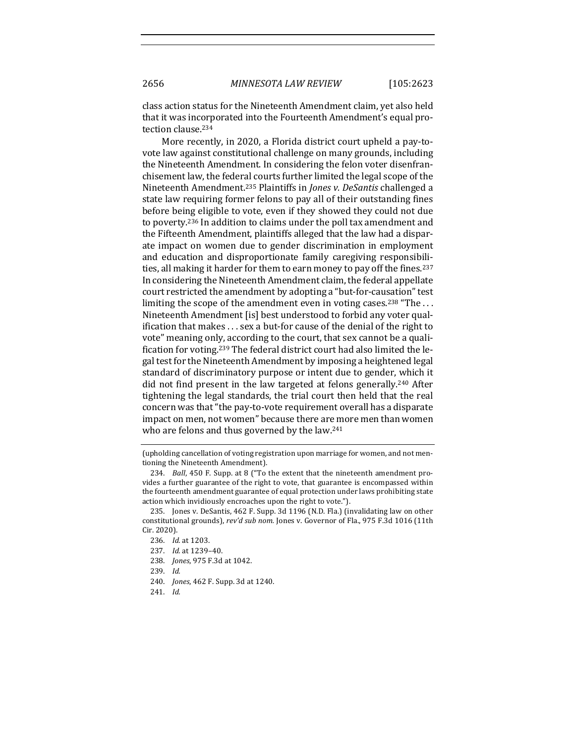class action status for the Nineteenth Amendment claim, yet also held that it was incorporated into the Fourteenth Amendment's equal protection clause.<sup>234</sup>

More recently, in 2020, a Florida district court upheld a pay-tovote law against constitutional challenge on many grounds, including the Nineteenth Amendment. In considering the felon voter disenfranchisement law, the federal courts further limited the legal scope of the Nineteenth Amendment.<sup>235</sup> Plaintiffs in *Jones v. DeSantis* challenged a state law requiring former felons to pay all of their outstanding fines before being eligible to vote, even if they showed they could not due to poverty.<sup>236</sup> In addition to claims under the poll tax amendment and the Fifteenth Amendment, plaintiffs alleged that the law had a disparate impact on women due to gender discrimination in employment and education and disproportionate family caregiving responsibilities, all making it harder for them to earn money to pay off the fines.<sup>237</sup> In considering the Nineteenth Amendment claim, the federal appellate court restricted the amendment by adopting a "but-for-causation" test limiting the scope of the amendment even in voting cases.<sup>238</sup> "The ... Nineteenth Amendment [is] best understood to forbid any voter qualification that makes  $\ldots$  sex a but-for cause of the denial of the right to vote" meaning only, according to the court, that sex cannot be a qualification for voting.<sup>239</sup> The federal district court had also limited the legal test for the Nineteenth Amendment by imposing a heightened legal standard of discriminatory purpose or intent due to gender, which it did not find present in the law targeted at felons generally.<sup>240</sup> After tightening the legal standards, the trial court then held that the real concern was that "the pay-to-vote requirement overall has a disparate impact on men, not women" because there are more men than women who are felons and thus governed by the law.<sup>241</sup>

- 238. *Jones*, 975 F.3d at 1042.
- 239. *Id.*
- 240. *Jones*, 462 F. Supp. 3d at 1240.
- 241. *Id.*

<sup>(</sup>upholding cancellation of voting registration upon marriage for women, and not mentioning the Nineteenth Amendment).

<sup>234.</sup> *Ball*, 450 F. Supp. at 8 ("To the extent that the nineteenth amendment provides a further guarantee of the right to vote, that guarantee is encompassed within the fourteenth amendment guarantee of equal protection under laws prohibiting state action which invidiously encroaches upon the right to vote.").

<sup>235.</sup> Jones v. DeSantis, 462 F. Supp. 3d 1196 (N.D. Fla.) (invalidating law on other constitutional grounds), rev'd sub nom. Jones v. Governor of Fla., 975 F.3d 1016 (11th Cir. 2020).

<sup>236.</sup> *Id.* at 1203.

<sup>237.</sup> *Id.* at 1239-40.